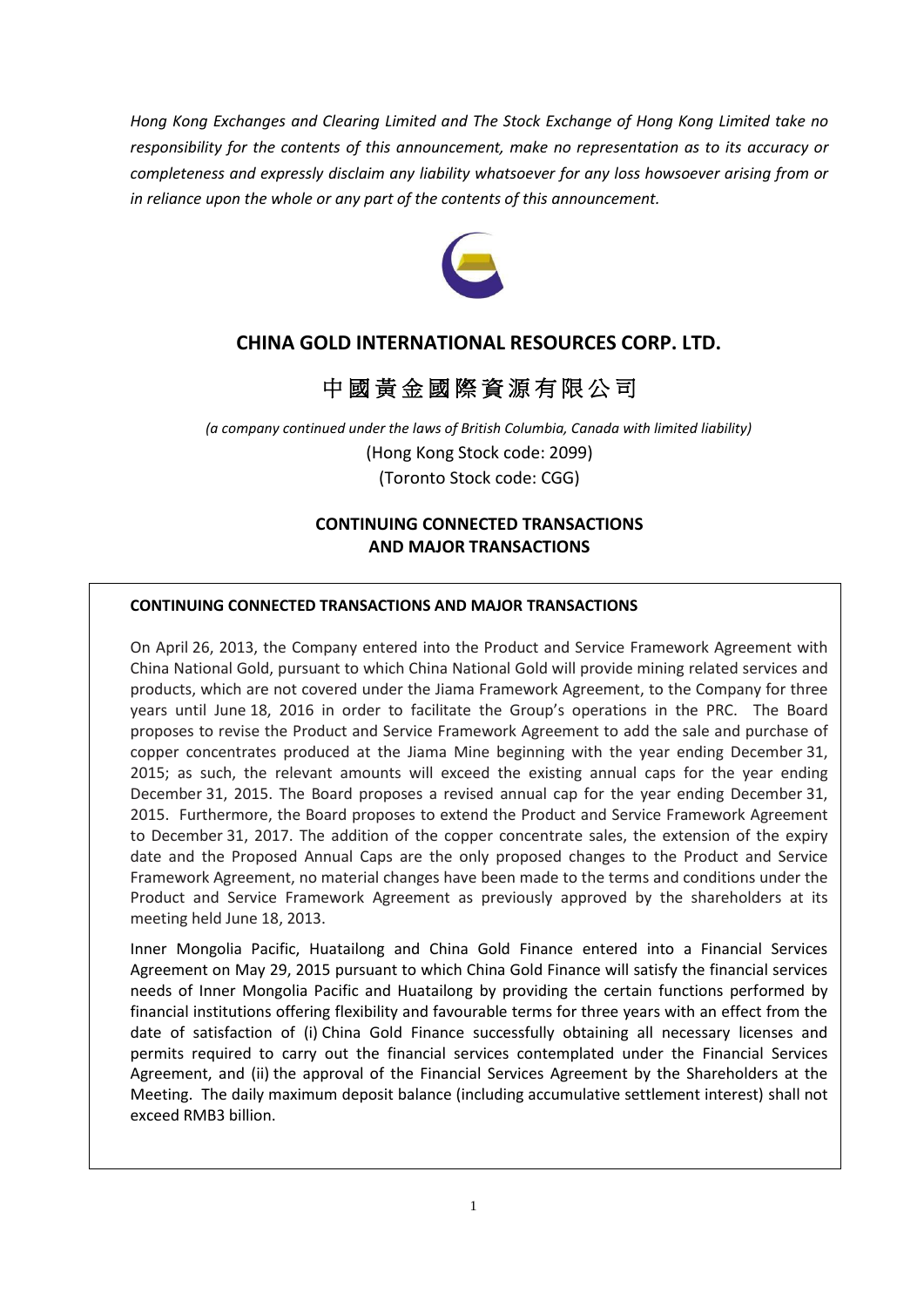*Hong Kong Exchanges and Clearing Limited and The Stock Exchange of Hong Kong Limited take no responsibility for the contents of this announcement, make no representation as to its accuracy or completeness and expressly disclaim any liability whatsoever for any loss howsoever arising from or in reliance upon the whole or any part of the contents of this announcement.*



# **CHINA GOLD INTERNATIONAL RESOURCES CORP. LTD.**

# 中 國 黃 金 國 際 資 源 有 限 公 司

*(a company continued under the laws of British Columbia, Canada with limited liability)* (Hong Kong Stock code: 2099) (Toronto Stock code: CGG)

# **CONTINUING CONNECTED TRANSACTIONS AND MAJOR TRANSACTIONS**

#### **CONTINUING CONNECTED TRANSACTIONS AND MAJOR TRANSACTIONS**

On April 26, 2013, the Company entered into the Product and Service Framework Agreement with China National Gold, pursuant to which China National Gold will provide mining related services and products, which are not covered under the Jiama Framework Agreement, to the Company for three years until June 18, 2016 in order to facilitate the Group's operations in the PRC. The Board proposes to revise the Product and Service Framework Agreement to add the sale and purchase of copper concentrates produced at the Jiama Mine beginning with the year ending December 31, 2015; as such, the relevant amounts will exceed the existing annual caps for the year ending December 31, 2015. The Board proposes a revised annual cap for the year ending December 31, 2015. Furthermore, the Board proposes to extend the Product and Service Framework Agreement to December 31, 2017. The addition of the copper concentrate sales, the extension of the expiry date and the Proposed Annual Caps are the only proposed changes to the Product and Service Framework Agreement, no material changes have been made to the terms and conditions under the Product and Service Framework Agreement as previously approved by the shareholders at its meeting held June 18, 2013.

Inner Mongolia Pacific, Huatailong and China Gold Finance entered into a Financial Services Agreement on May 29, 2015 pursuant to which China Gold Finance will satisfy the financial services needs of Inner Mongolia Pacific and Huatailong by providing the certain functions performed by financial institutions offering flexibility and favourable terms for three years with an effect from the date of satisfaction of (i) China Gold Finance successfully obtaining all necessary licenses and permits required to carry out the financial services contemplated under the Financial Services Agreement, and (ii) the approval of the Financial Services Agreement by the Shareholders at the Meeting. The daily maximum deposit balance (including accumulative settlement interest) shall not exceed RMB3 billion.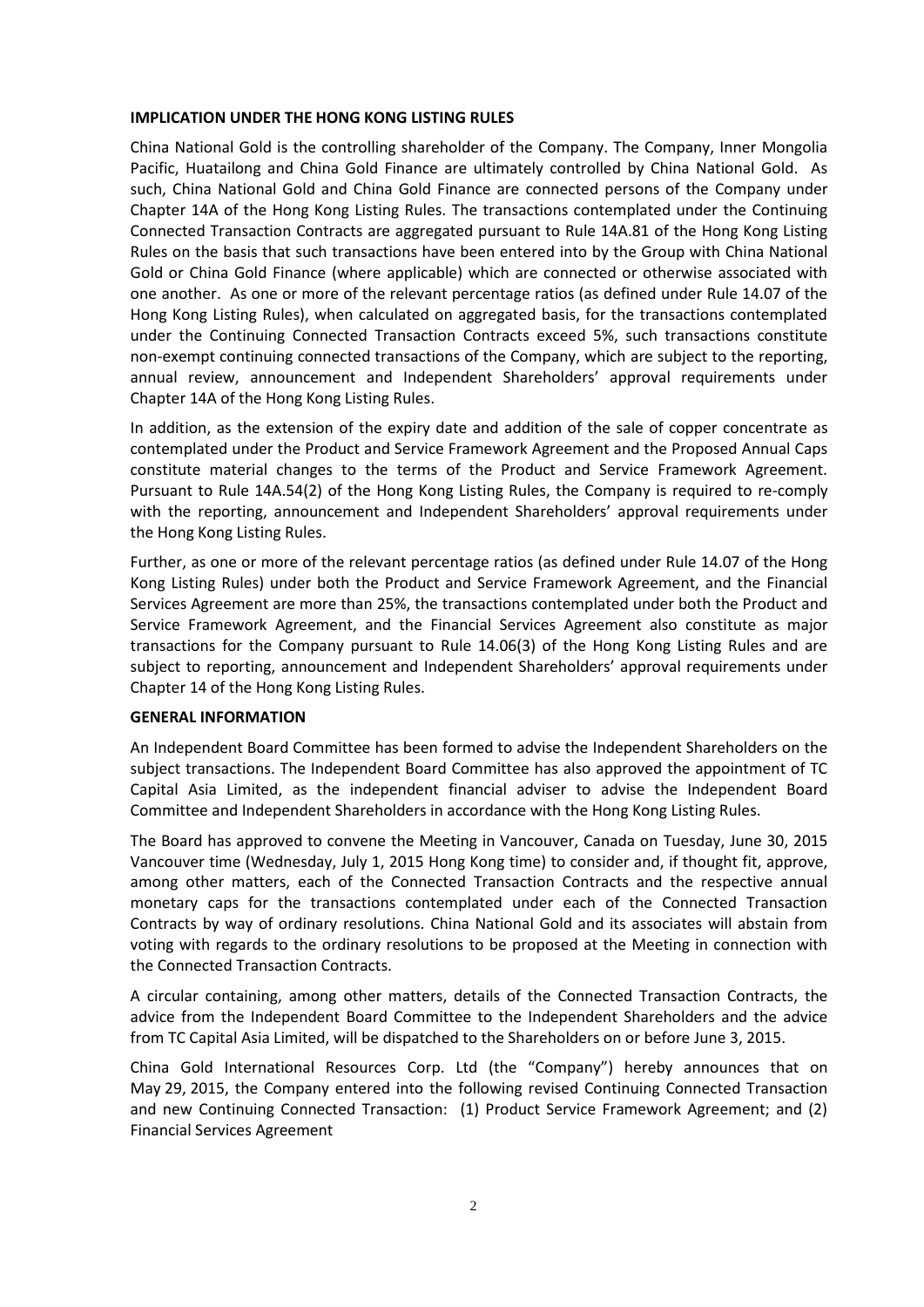### **IMPLICATION UNDER THE HONG KONG LISTING RULES**

China National Gold is the controlling shareholder of the Company. The Company, Inner Mongolia Pacific, Huatailong and China Gold Finance are ultimately controlled by China National Gold. As such, China National Gold and China Gold Finance are connected persons of the Company under Chapter 14A of the Hong Kong Listing Rules. The transactions contemplated under the Continuing Connected Transaction Contracts are aggregated pursuant to Rule 14A.81 of the Hong Kong Listing Rules on the basis that such transactions have been entered into by the Group with China National Gold or China Gold Finance (where applicable) which are connected or otherwise associated with one another. As one or more of the relevant percentage ratios (as defined under Rule 14.07 of the Hong Kong Listing Rules), when calculated on aggregated basis, for the transactions contemplated under the Continuing Connected Transaction Contracts exceed 5%, such transactions constitute non-exempt continuing connected transactions of the Company, which are subject to the reporting, annual review, announcement and Independent Shareholders' approval requirements under Chapter 14A of the Hong Kong Listing Rules.

In addition, as the extension of the expiry date and addition of the sale of copper concentrate as contemplated under the Product and Service Framework Agreement and the Proposed Annual Caps constitute material changes to the terms of the Product and Service Framework Agreement. Pursuant to Rule 14A.54(2) of the Hong Kong Listing Rules, the Company is required to re-comply with the reporting, announcement and Independent Shareholders' approval requirements under the Hong Kong Listing Rules.

Further, as one or more of the relevant percentage ratios (as defined under Rule 14.07 of the Hong Kong Listing Rules) under both the Product and Service Framework Agreement, and the Financial Services Agreement are more than 25%, the transactions contemplated under both the Product and Service Framework Agreement, and the Financial Services Agreement also constitute as major transactions for the Company pursuant to Rule 14.06(3) of the Hong Kong Listing Rules and are subject to reporting, announcement and Independent Shareholders' approval requirements under Chapter 14 of the Hong Kong Listing Rules.

### **GENERAL INFORMATION**

An Independent Board Committee has been formed to advise the Independent Shareholders on the subject transactions. The Independent Board Committee has also approved the appointment of TC Capital Asia Limited, as the independent financial adviser to advise the Independent Board Committee and Independent Shareholders in accordance with the Hong Kong Listing Rules.

The Board has approved to convene the Meeting in Vancouver, Canada on Tuesday, June 30, 2015 Vancouver time (Wednesday, July 1, 2015 Hong Kong time) to consider and, if thought fit, approve, among other matters, each of the Connected Transaction Contracts and the respective annual monetary caps for the transactions contemplated under each of the Connected Transaction Contracts by way of ordinary resolutions. China National Gold and its associates will abstain from voting with regards to the ordinary resolutions to be proposed at the Meeting in connection with the Connected Transaction Contracts.

A circular containing, among other matters, details of the Connected Transaction Contracts, the advice from the Independent Board Committee to the Independent Shareholders and the advice from TC Capital Asia Limited, will be dispatched to the Shareholders on or before June 3, 2015.

China Gold International Resources Corp. Ltd (the "Company") hereby announces that on May 29, 2015, the Company entered into the following revised Continuing Connected Transaction and new Continuing Connected Transaction: (1) Product Service Framework Agreement; and (2) Financial Services Agreement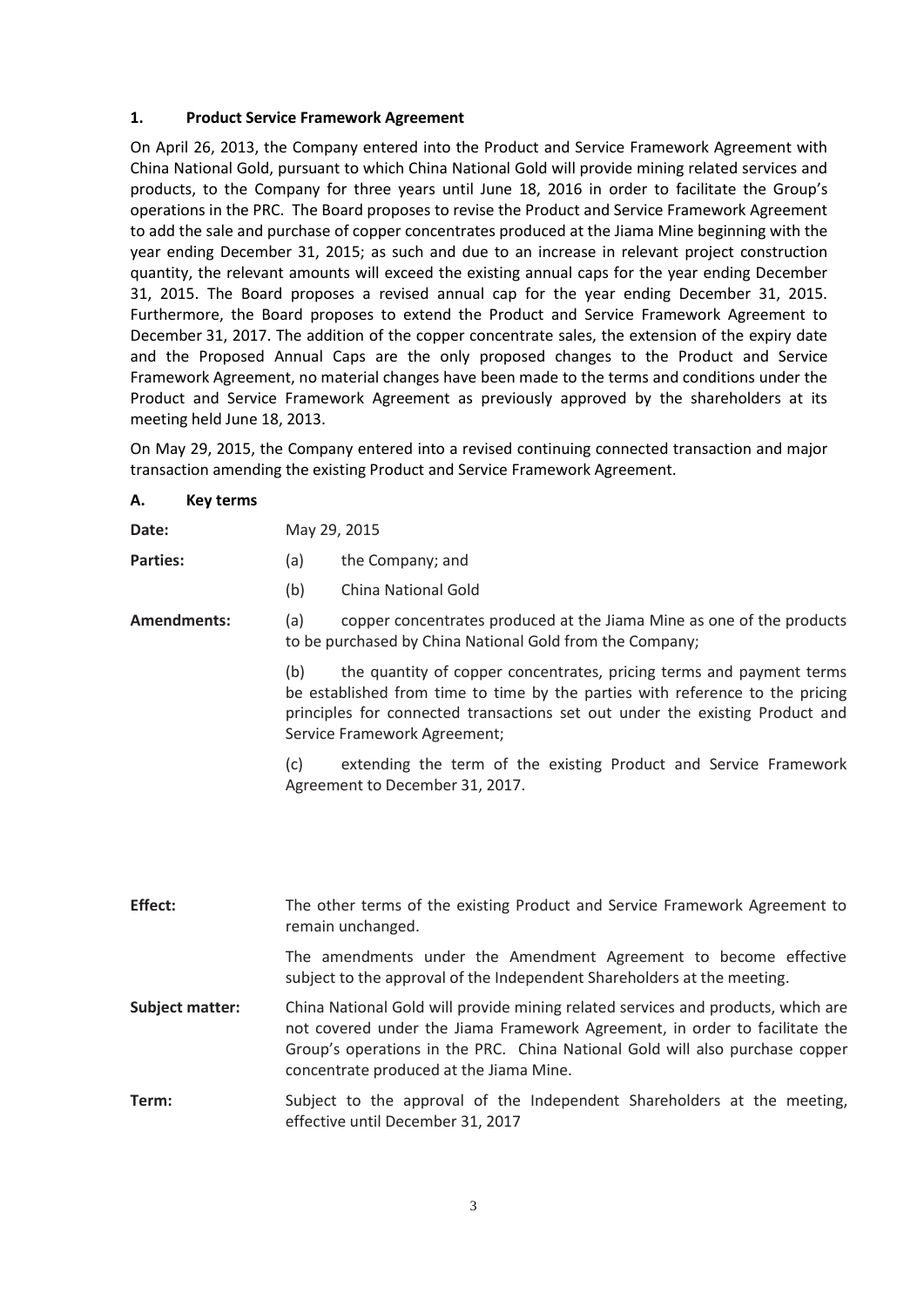### **1. Product Service Framework Agreement**

On April 26, 2013, the Company entered into the Product and Service Framework Agreement with China National Gold, pursuant to which China National Gold will provide mining related services and products, to the Company for three years until June 18, 2016 in order to facilitate the Group's operations in the PRC. The Board proposes to revise the Product and Service Framework Agreement to add the sale and purchase of copper concentrates produced at the Jiama Mine beginning with the year ending December 31, 2015; as such and due to an increase in relevant project construction quantity, the relevant amounts will exceed the existing annual caps for the year ending December 31, 2015. The Board proposes a revised annual cap for the year ending December 31, 2015. Furthermore, the Board proposes to extend the Product and Service Framework Agreement to December 31, 2017. The addition of the copper concentrate sales, the extension of the expiry date and the Proposed Annual Caps are the only proposed changes to the Product and Service Framework Agreement, no material changes have been made to the terms and conditions under the Product and Service Framework Agreement as previously approved by the shareholders at its meeting held June 18, 2013.

On May 29, 2015, the Company entered into a revised continuing connected transaction and major transaction amending the existing Product and Service Framework Agreement.

| А.<br>Key terms |                                                                                                                                                                                                                                                                              |  |  |
|-----------------|------------------------------------------------------------------------------------------------------------------------------------------------------------------------------------------------------------------------------------------------------------------------------|--|--|
| Date:           | May 29, 2015                                                                                                                                                                                                                                                                 |  |  |
| <b>Parties:</b> | the Company; and<br>(a)                                                                                                                                                                                                                                                      |  |  |
|                 | China National Gold<br>(b)                                                                                                                                                                                                                                                   |  |  |
| Amendments:     | copper concentrates produced at the Jiama Mine as one of the products<br>(a)<br>to be purchased by China National Gold from the Company;                                                                                                                                     |  |  |
|                 | the quantity of copper concentrates, pricing terms and payment terms<br>(b)<br>be established from time to time by the parties with reference to the pricing<br>principles for connected transactions set out under the existing Product and<br>Service Framework Agreement; |  |  |
|                 | extending the term of the existing Product and Service Framework<br>(c)<br>Agreement to December 31, 2017.                                                                                                                                                                   |  |  |
|                 |                                                                                                                                                                                                                                                                              |  |  |
|                 |                                                                                                                                                                                                                                                                              |  |  |

| Effect:                | The other terms of the existing Product and Service Framework Agreement to<br>remain unchanged.                                                                                                                                                                                            |  |
|------------------------|--------------------------------------------------------------------------------------------------------------------------------------------------------------------------------------------------------------------------------------------------------------------------------------------|--|
|                        | The amendments under the Amendment Agreement to become effective<br>subject to the approval of the Independent Shareholders at the meeting.                                                                                                                                                |  |
| <b>Subject matter:</b> | China National Gold will provide mining related services and products, which are<br>not covered under the Jiama Framework Agreement, in order to facilitate the<br>Group's operations in the PRC. China National Gold will also purchase copper<br>concentrate produced at the Jiama Mine. |  |
| Term:                  | Subject to the approval of the Independent Shareholders at the meeting,<br>effective until December 31, 2017                                                                                                                                                                               |  |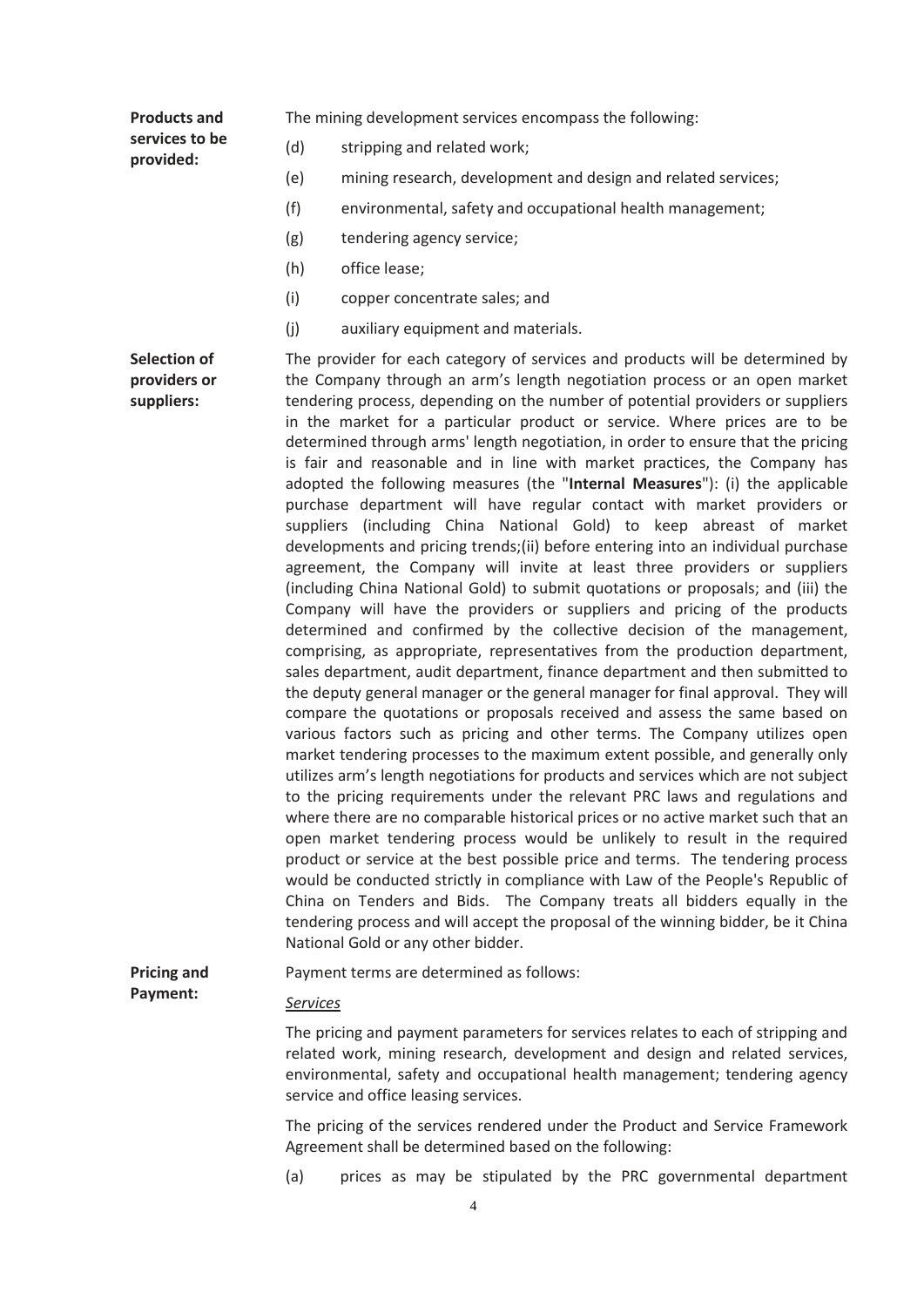| <b>Products and</b>                               | The mining development services encompass the following:                                                                                                                                                                                                                                                                                                                                                                                                                                                                                                                                                                                                                                                                                                                                                                                                                                                                                                                                                                                                                                                                                                                                                                                                                                                                                                                                                                                                                                                                                                                                                                                                                                                                                                                                                                                                                                                                                                                                                                                                                                                                                                                                                                                                                                                                                             |
|---------------------------------------------------|------------------------------------------------------------------------------------------------------------------------------------------------------------------------------------------------------------------------------------------------------------------------------------------------------------------------------------------------------------------------------------------------------------------------------------------------------------------------------------------------------------------------------------------------------------------------------------------------------------------------------------------------------------------------------------------------------------------------------------------------------------------------------------------------------------------------------------------------------------------------------------------------------------------------------------------------------------------------------------------------------------------------------------------------------------------------------------------------------------------------------------------------------------------------------------------------------------------------------------------------------------------------------------------------------------------------------------------------------------------------------------------------------------------------------------------------------------------------------------------------------------------------------------------------------------------------------------------------------------------------------------------------------------------------------------------------------------------------------------------------------------------------------------------------------------------------------------------------------------------------------------------------------------------------------------------------------------------------------------------------------------------------------------------------------------------------------------------------------------------------------------------------------------------------------------------------------------------------------------------------------------------------------------------------------------------------------------------------------|
| services to be<br>provided:                       | (d)<br>stripping and related work;                                                                                                                                                                                                                                                                                                                                                                                                                                                                                                                                                                                                                                                                                                                                                                                                                                                                                                                                                                                                                                                                                                                                                                                                                                                                                                                                                                                                                                                                                                                                                                                                                                                                                                                                                                                                                                                                                                                                                                                                                                                                                                                                                                                                                                                                                                                   |
|                                                   | (e)<br>mining research, development and design and related services;                                                                                                                                                                                                                                                                                                                                                                                                                                                                                                                                                                                                                                                                                                                                                                                                                                                                                                                                                                                                                                                                                                                                                                                                                                                                                                                                                                                                                                                                                                                                                                                                                                                                                                                                                                                                                                                                                                                                                                                                                                                                                                                                                                                                                                                                                 |
|                                                   | (f)<br>environmental, safety and occupational health management;                                                                                                                                                                                                                                                                                                                                                                                                                                                                                                                                                                                                                                                                                                                                                                                                                                                                                                                                                                                                                                                                                                                                                                                                                                                                                                                                                                                                                                                                                                                                                                                                                                                                                                                                                                                                                                                                                                                                                                                                                                                                                                                                                                                                                                                                                     |
|                                                   | (g)<br>tendering agency service;                                                                                                                                                                                                                                                                                                                                                                                                                                                                                                                                                                                                                                                                                                                                                                                                                                                                                                                                                                                                                                                                                                                                                                                                                                                                                                                                                                                                                                                                                                                                                                                                                                                                                                                                                                                                                                                                                                                                                                                                                                                                                                                                                                                                                                                                                                                     |
|                                                   | (h)<br>office lease;                                                                                                                                                                                                                                                                                                                                                                                                                                                                                                                                                                                                                                                                                                                                                                                                                                                                                                                                                                                                                                                                                                                                                                                                                                                                                                                                                                                                                                                                                                                                                                                                                                                                                                                                                                                                                                                                                                                                                                                                                                                                                                                                                                                                                                                                                                                                 |
|                                                   | (i)<br>copper concentrate sales; and                                                                                                                                                                                                                                                                                                                                                                                                                                                                                                                                                                                                                                                                                                                                                                                                                                                                                                                                                                                                                                                                                                                                                                                                                                                                                                                                                                                                                                                                                                                                                                                                                                                                                                                                                                                                                                                                                                                                                                                                                                                                                                                                                                                                                                                                                                                 |
|                                                   | (j)<br>auxiliary equipment and materials.                                                                                                                                                                                                                                                                                                                                                                                                                                                                                                                                                                                                                                                                                                                                                                                                                                                                                                                                                                                                                                                                                                                                                                                                                                                                                                                                                                                                                                                                                                                                                                                                                                                                                                                                                                                                                                                                                                                                                                                                                                                                                                                                                                                                                                                                                                            |
| <b>Selection of</b><br>providers or<br>suppliers: | The provider for each category of services and products will be determined by<br>the Company through an arm's length negotiation process or an open market<br>tendering process, depending on the number of potential providers or suppliers<br>in the market for a particular product or service. Where prices are to be<br>determined through arms' length negotiation, in order to ensure that the pricing<br>is fair and reasonable and in line with market practices, the Company has<br>adopted the following measures (the "Internal Measures"): (i) the applicable<br>purchase department will have regular contact with market providers or<br>suppliers (including China National Gold) to keep abreast of market<br>developments and pricing trends;(ii) before entering into an individual purchase<br>agreement, the Company will invite at least three providers or suppliers<br>(including China National Gold) to submit quotations or proposals; and (iii) the<br>Company will have the providers or suppliers and pricing of the products<br>determined and confirmed by the collective decision of the management,<br>comprising, as appropriate, representatives from the production department,<br>sales department, audit department, finance department and then submitted to<br>the deputy general manager or the general manager for final approval. They will<br>compare the quotations or proposals received and assess the same based on<br>various factors such as pricing and other terms. The Company utilizes open<br>market tendering processes to the maximum extent possible, and generally only<br>utilizes arm's length negotiations for products and services which are not subject<br>to the pricing requirements under the relevant PRC laws and regulations and<br>where there are no comparable historical prices or no active market such that an<br>open market tendering process would be unlikely to result in the required<br>product or service at the best possible price and terms. The tendering process<br>would be conducted strictly in compliance with Law of the People's Republic of<br>China on Tenders and Bids. The Company treats all bidders equally in the<br>tendering process and will accept the proposal of the winning bidder, be it China<br>National Gold or any other bidder. |
| <b>Pricing and</b>                                | Payment terms are determined as follows:                                                                                                                                                                                                                                                                                                                                                                                                                                                                                                                                                                                                                                                                                                                                                                                                                                                                                                                                                                                                                                                                                                                                                                                                                                                                                                                                                                                                                                                                                                                                                                                                                                                                                                                                                                                                                                                                                                                                                                                                                                                                                                                                                                                                                                                                                                             |
| Payment:                                          | <b>Services</b>                                                                                                                                                                                                                                                                                                                                                                                                                                                                                                                                                                                                                                                                                                                                                                                                                                                                                                                                                                                                                                                                                                                                                                                                                                                                                                                                                                                                                                                                                                                                                                                                                                                                                                                                                                                                                                                                                                                                                                                                                                                                                                                                                                                                                                                                                                                                      |
|                                                   | The pricing and payment parameters for services relates to each of stripping and<br>related work, mining research, development and design and related services,<br>environmental, safety and occupational health management; tendering agency<br>service and office leasing services.                                                                                                                                                                                                                                                                                                                                                                                                                                                                                                                                                                                                                                                                                                                                                                                                                                                                                                                                                                                                                                                                                                                                                                                                                                                                                                                                                                                                                                                                                                                                                                                                                                                                                                                                                                                                                                                                                                                                                                                                                                                                |
|                                                   | The pricing of the services rendered under the Product and Service Framework<br>Agreement shall be determined based on the following:                                                                                                                                                                                                                                                                                                                                                                                                                                                                                                                                                                                                                                                                                                                                                                                                                                                                                                                                                                                                                                                                                                                                                                                                                                                                                                                                                                                                                                                                                                                                                                                                                                                                                                                                                                                                                                                                                                                                                                                                                                                                                                                                                                                                                |
|                                                   | (a)<br>prices as may be stipulated by the PRC governmental department                                                                                                                                                                                                                                                                                                                                                                                                                                                                                                                                                                                                                                                                                                                                                                                                                                                                                                                                                                                                                                                                                                                                                                                                                                                                                                                                                                                                                                                                                                                                                                                                                                                                                                                                                                                                                                                                                                                                                                                                                                                                                                                                                                                                                                                                                |
|                                                   | 4                                                                                                                                                                                                                                                                                                                                                                                                                                                                                                                                                                                                                                                                                                                                                                                                                                                                                                                                                                                                                                                                                                                                                                                                                                                                                                                                                                                                                                                                                                                                                                                                                                                                                                                                                                                                                                                                                                                                                                                                                                                                                                                                                                                                                                                                                                                                                    |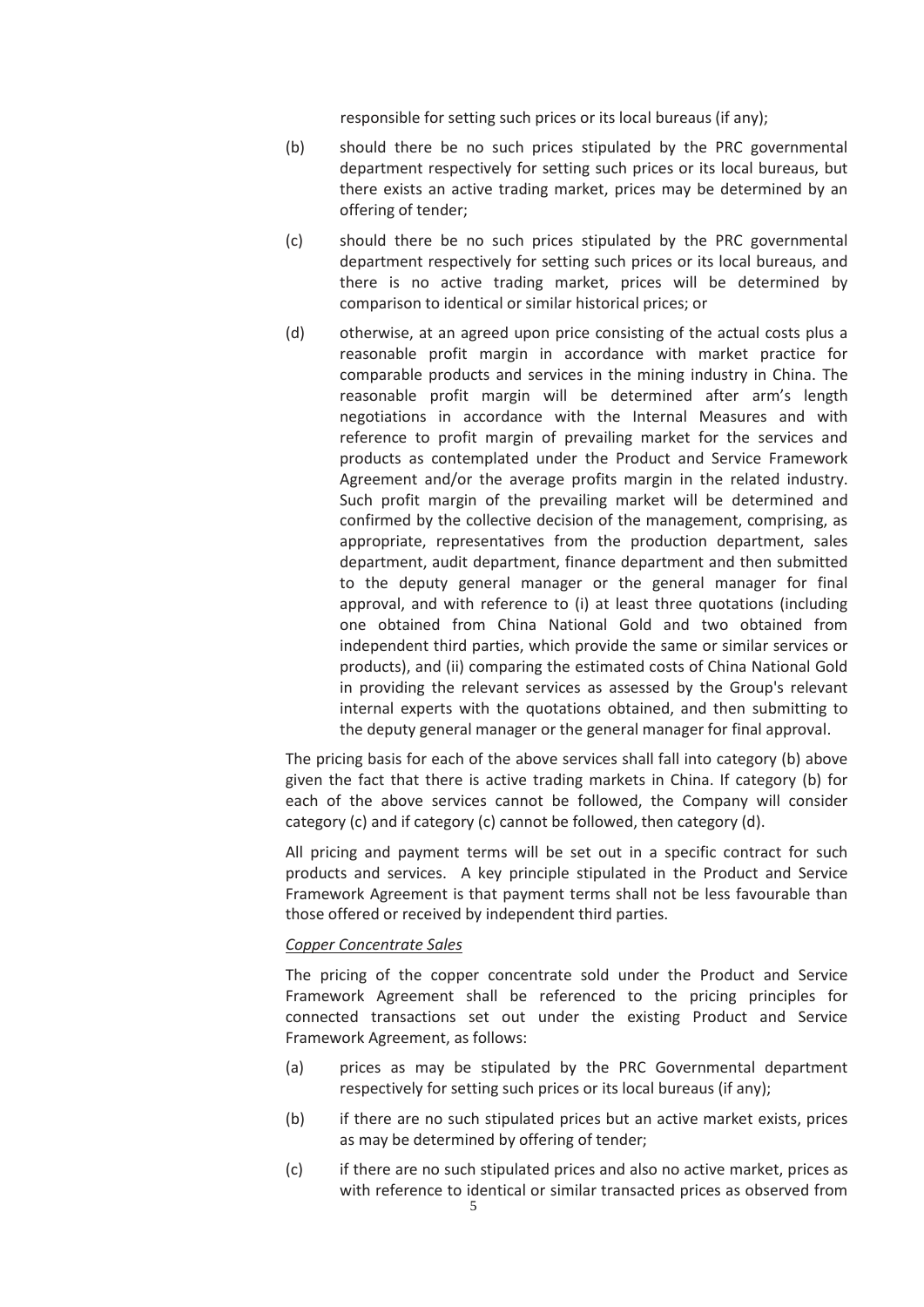responsible for setting such prices or its local bureaus (if any);

- (b) should there be no such prices stipulated by the PRC governmental department respectively for setting such prices or its local bureaus, but there exists an active trading market, prices may be determined by an offering of tender;
- (c) should there be no such prices stipulated by the PRC governmental department respectively for setting such prices or its local bureaus, and there is no active trading market, prices will be determined by comparison to identical or similar historical prices; or
- (d) otherwise, at an agreed upon price consisting of the actual costs plus a reasonable profit margin in accordance with market practice for comparable products and services in the mining industry in China. The reasonable profit margin will be determined after arm's length negotiations in accordance with the Internal Measures and with reference to profit margin of prevailing market for the services and products as contemplated under the Product and Service Framework Agreement and/or the average profits margin in the related industry. Such profit margin of the prevailing market will be determined and confirmed by the collective decision of the management, comprising, as appropriate, representatives from the production department, sales department, audit department, finance department and then submitted to the deputy general manager or the general manager for final approval, and with reference to (i) at least three quotations (including one obtained from China National Gold and two obtained from independent third parties, which provide the same or similar services or products), and (ii) comparing the estimated costs of China National Gold in providing the relevant services as assessed by the Group's relevant internal experts with the quotations obtained, and then submitting to the deputy general manager or the general manager for final approval.

The pricing basis for each of the above services shall fall into category (b) above given the fact that there is active trading markets in China. If category (b) for each of the above services cannot be followed, the Company will consider category (c) and if category (c) cannot be followed, then category (d).

All pricing and payment terms will be set out in a specific contract for such products and services. A key principle stipulated in the Product and Service Framework Agreement is that payment terms shall not be less favourable than those offered or received by independent third parties.

#### *Copper Concentrate Sales*

The pricing of the copper concentrate sold under the Product and Service Framework Agreement shall be referenced to the pricing principles for connected transactions set out under the existing Product and Service Framework Agreement, as follows:

- (a) prices as may be stipulated by the PRC Governmental department respectively for setting such prices or its local bureaus (if any);
- (b) if there are no such stipulated prices but an active market exists, prices as may be determined by offering of tender;
- (c) if there are no such stipulated prices and also no active market, prices as with reference to identical or similar transacted prices as observed from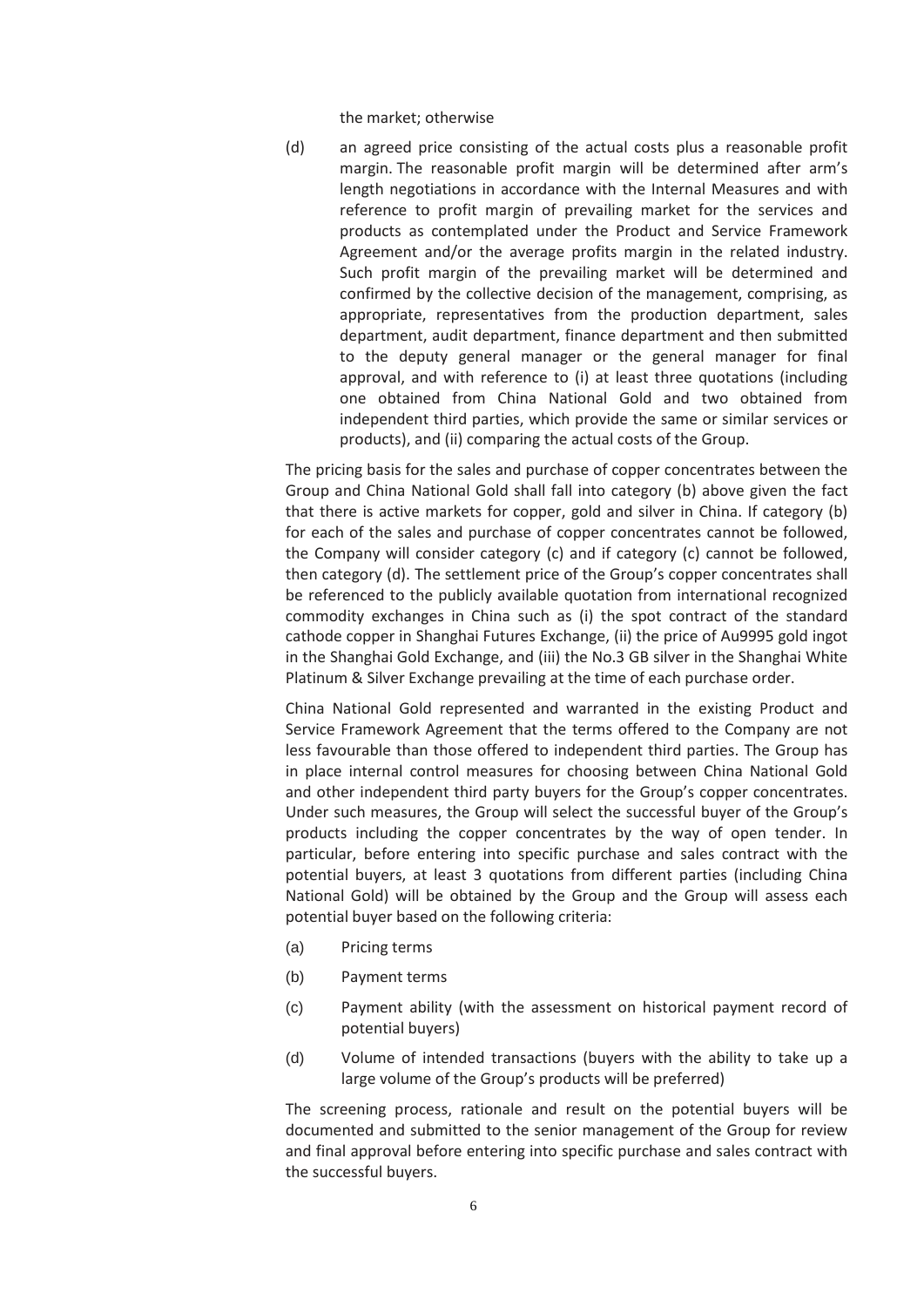the market; otherwise

(d) an agreed price consisting of the actual costs plus a reasonable profit margin. The reasonable profit margin will be determined after arm's length negotiations in accordance with the Internal Measures and with reference to profit margin of prevailing market for the services and products as contemplated under the Product and Service Framework Agreement and/or the average profits margin in the related industry. Such profit margin of the prevailing market will be determined and confirmed by the collective decision of the management, comprising, as appropriate, representatives from the production department, sales department, audit department, finance department and then submitted to the deputy general manager or the general manager for final approval, and with reference to (i) at least three quotations (including one obtained from China National Gold and two obtained from independent third parties, which provide the same or similar services or products), and (ii) comparing the actual costs of the Group.

The pricing basis for the sales and purchase of copper concentrates between the Group and China National Gold shall fall into category (b) above given the fact that there is active markets for copper, gold and silver in China. If category (b) for each of the sales and purchase of copper concentrates cannot be followed, the Company will consider category (c) and if category (c) cannot be followed, then category (d). The settlement price of the Group's copper concentrates shall be referenced to the publicly available quotation from international recognized commodity exchanges in China such as (i) the spot contract of the standard cathode copper in Shanghai Futures Exchange, (ii) the price of Au9995 gold ingot in the Shanghai Gold Exchange, and (iii) the No.3 GB silver in the Shanghai White Platinum & Silver Exchange prevailing at the time of each purchase order.

China National Gold represented and warranted in the existing Product and Service Framework Agreement that the terms offered to the Company are not less favourable than those offered to independent third parties. The Group has in place internal control measures for choosing between China National Gold and other independent third party buyers for the Group's copper concentrates. Under such measures, the Group will select the successful buyer of the Group's products including the copper concentrates by the way of open tender. In particular, before entering into specific purchase and sales contract with the potential buyers, at least 3 quotations from different parties (including China National Gold) will be obtained by the Group and the Group will assess each potential buyer based on the following criteria:

- (a) Pricing terms
- (b) Payment terms
- (c) Payment ability (with the assessment on historical payment record of potential buyers)
- (d) Volume of intended transactions (buyers with the ability to take up a large volume of the Group's products will be preferred)

The screening process, rationale and result on the potential buyers will be documented and submitted to the senior management of the Group for review and final approval before entering into specific purchase and sales contract with the successful buyers.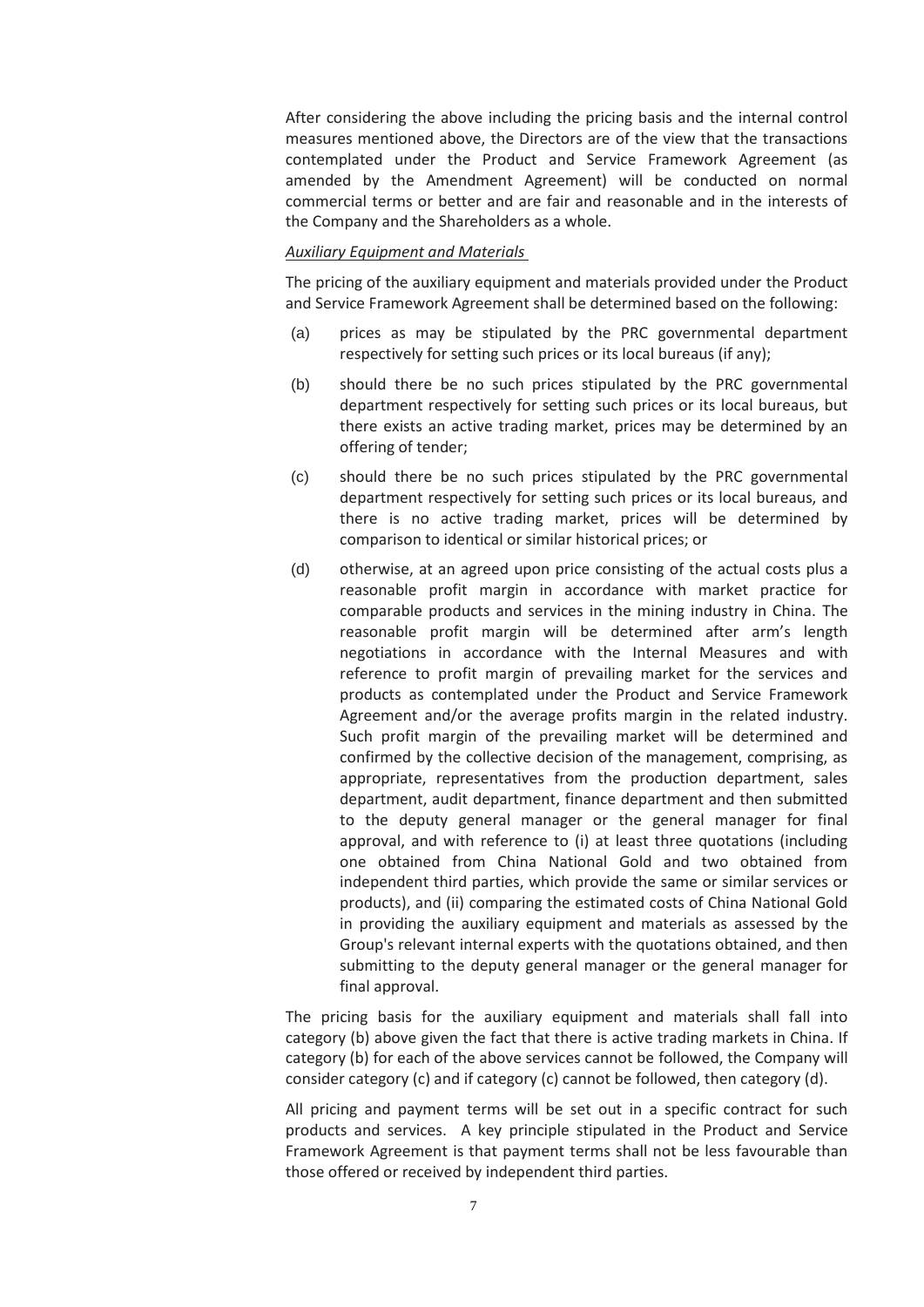After considering the above including the pricing basis and the internal control measures mentioned above, the Directors are of the view that the transactions contemplated under the Product and Service Framework Agreement (as amended by the Amendment Agreement) will be conducted on normal commercial terms or better and are fair and reasonable and in the interests of the Company and the Shareholders as a whole.

#### *Auxiliary Equipment and Materials*

The pricing of the auxiliary equipment and materials provided under the Product and Service Framework Agreement shall be determined based on the following:

- (a) prices as may be stipulated by the PRC governmental department respectively for setting such prices or its local bureaus (if any);
- (b) should there be no such prices stipulated by the PRC governmental department respectively for setting such prices or its local bureaus, but there exists an active trading market, prices may be determined by an offering of tender;
- (c) should there be no such prices stipulated by the PRC governmental department respectively for setting such prices or its local bureaus, and there is no active trading market, prices will be determined by comparison to identical or similar historical prices; or
- (d) otherwise, at an agreed upon price consisting of the actual costs plus a reasonable profit margin in accordance with market practice for comparable products and services in the mining industry in China. The reasonable profit margin will be determined after arm's length negotiations in accordance with the Internal Measures and with reference to profit margin of prevailing market for the services and products as contemplated under the Product and Service Framework Agreement and/or the average profits margin in the related industry. Such profit margin of the prevailing market will be determined and confirmed by the collective decision of the management, comprising, as appropriate, representatives from the production department, sales department, audit department, finance department and then submitted to the deputy general manager or the general manager for final approval, and with reference to (i) at least three quotations (including one obtained from China National Gold and two obtained from independent third parties, which provide the same or similar services or products), and (ii) comparing the estimated costs of China National Gold in providing the auxiliary equipment and materials as assessed by the Group's relevant internal experts with the quotations obtained, and then submitting to the deputy general manager or the general manager for final approval.

The pricing basis for the auxiliary equipment and materials shall fall into category (b) above given the fact that there is active trading markets in China. If category (b) for each of the above services cannot be followed, the Company will consider category (c) and if category (c) cannot be followed, then category (d).

All pricing and payment terms will be set out in a specific contract for such products and services. A key principle stipulated in the Product and Service Framework Agreement is that payment terms shall not be less favourable than those offered or received by independent third parties.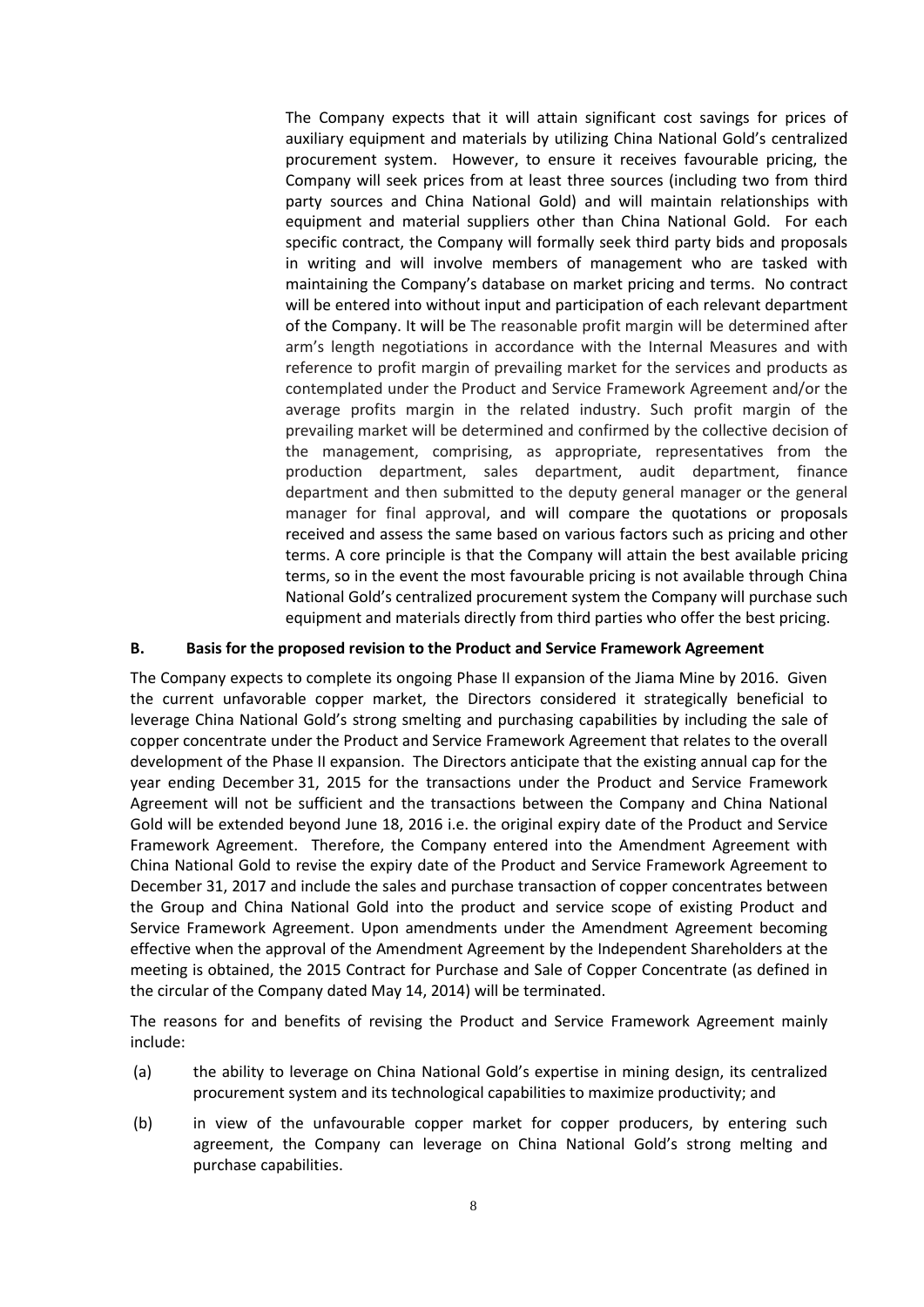The Company expects that it will attain significant cost savings for prices of auxiliary equipment and materials by utilizing China National Gold's centralized procurement system. However, to ensure it receives favourable pricing, the Company will seek prices from at least three sources (including two from third party sources and China National Gold) and will maintain relationships with equipment and material suppliers other than China National Gold. For each specific contract, the Company will formally seek third party bids and proposals in writing and will involve members of management who are tasked with maintaining the Company's database on market pricing and terms. No contract will be entered into without input and participation of each relevant department of the Company. It will be The reasonable profit margin will be determined after arm's length negotiations in accordance with the Internal Measures and with reference to profit margin of prevailing market for the services and products as contemplated under the Product and Service Framework Agreement and/or the average profits margin in the related industry. Such profit margin of the prevailing market will be determined and confirmed by the collective decision of the management, comprising, as appropriate, representatives from the production department, sales department, audit department, finance department and then submitted to the deputy general manager or the general manager for final approval, and will compare the quotations or proposals received and assess the same based on various factors such as pricing and other terms. A core principle is that the Company will attain the best available pricing terms, so in the event the most favourable pricing is not available through China National Gold's centralized procurement system the Company will purchase such equipment and materials directly from third parties who offer the best pricing.

### **B. Basis for the proposed revision to the Product and Service Framework Agreement**

The Company expects to complete its ongoing Phase II expansion of the Jiama Mine by 2016. Given the current unfavorable copper market, the Directors considered it strategically beneficial to leverage China National Gold's strong smelting and purchasing capabilities by including the sale of copper concentrate under the Product and Service Framework Agreement that relates to the overall development of the Phase II expansion. The Directors anticipate that the existing annual cap for the year ending December 31, 2015 for the transactions under the Product and Service Framework Agreement will not be sufficient and the transactions between the Company and China National Gold will be extended beyond June 18, 2016 i.e. the original expiry date of the Product and Service Framework Agreement. Therefore, the Company entered into the Amendment Agreement with China National Gold to revise the expiry date of the Product and Service Framework Agreement to December 31, 2017 and include the sales and purchase transaction of copper concentrates between the Group and China National Gold into the product and service scope of existing Product and Service Framework Agreement. Upon amendments under the Amendment Agreement becoming effective when the approval of the Amendment Agreement by the Independent Shareholders at the meeting is obtained, the 2015 Contract for Purchase and Sale of Copper Concentrate (as defined in the circular of the Company dated May 14, 2014) will be terminated.

The reasons for and benefits of revising the Product and Service Framework Agreement mainly include:

- (a) the ability to leverage on China National Gold's expertise in mining design, its centralized procurement system and its technological capabilities to maximize productivity; and
- (b) in view of the unfavourable copper market for copper producers, by entering such agreement, the Company can leverage on China National Gold's strong melting and purchase capabilities.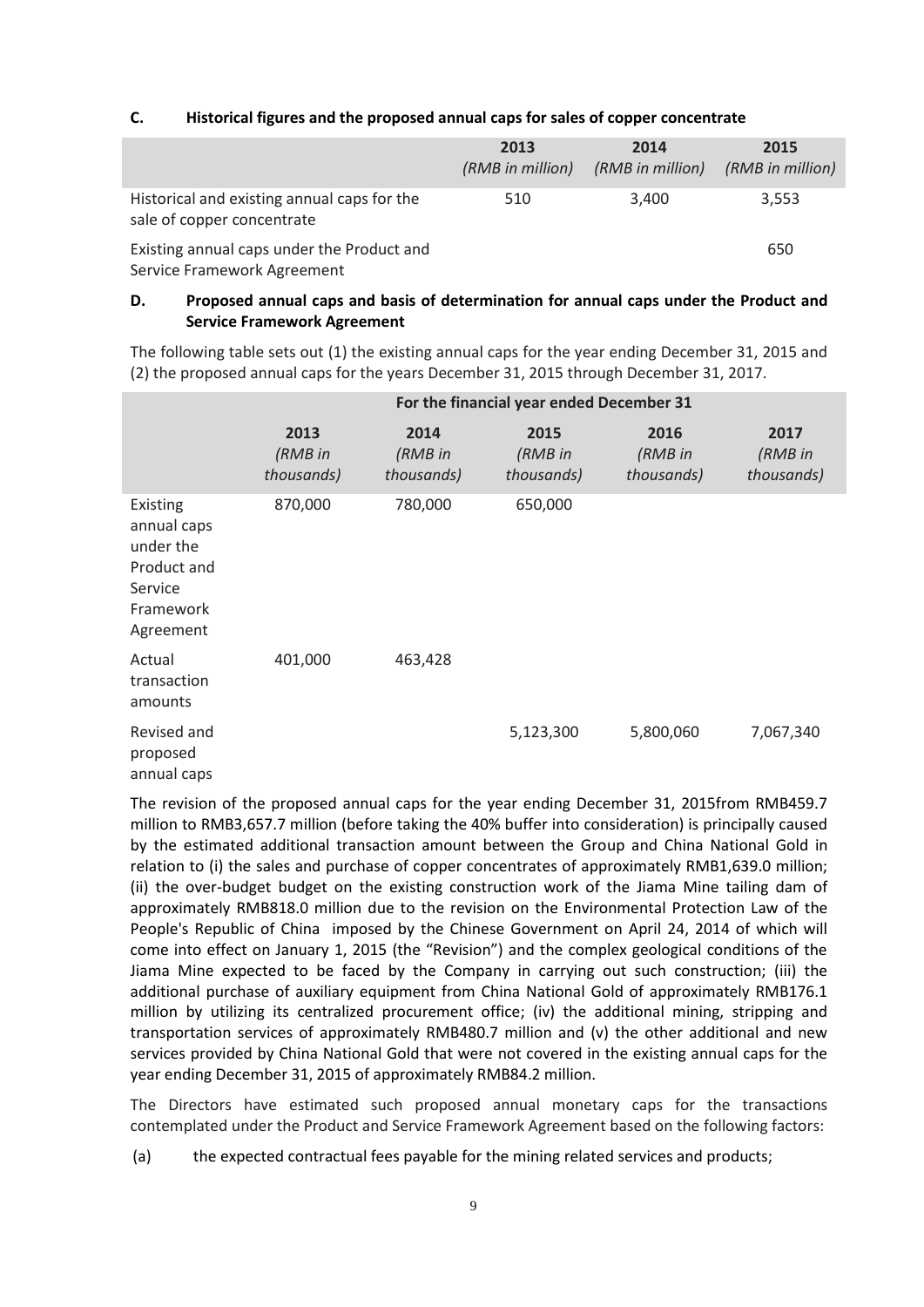### **C. Historical figures and the proposed annual caps for sales of copper concentrate**

|                                                                           | 2013<br>(RMB in million) | 2014<br>(RMB in million) | 2015<br>(RMB in million) |
|---------------------------------------------------------------------------|--------------------------|--------------------------|--------------------------|
| Historical and existing annual caps for the<br>sale of copper concentrate | 510                      | 3,400                    | 3,553                    |
| Existing annual caps under the Product and                                |                          |                          | 650                      |

Service Framework Agreement

### **D. Proposed annual caps and basis of determination for annual caps under the Product and Service Framework Agreement**

The following table sets out (1) the existing annual caps for the year ending December 31, 2015 and (2) the proposed annual caps for the years December 31, 2015 through December 31, 2017.

|                                                                                          | For the financial year ended December 31 |                               |                               |                               |                               |
|------------------------------------------------------------------------------------------|------------------------------------------|-------------------------------|-------------------------------|-------------------------------|-------------------------------|
|                                                                                          | 2013<br>(RMB in<br>thousands)            | 2014<br>(RMB in<br>thousands) | 2015<br>(RMB in<br>thousands) | 2016<br>(RMB in<br>thousands) | 2017<br>(RMB in<br>thousands) |
| Existing<br>annual caps<br>under the<br>Product and<br>Service<br>Framework<br>Agreement | 870,000                                  | 780,000                       | 650,000                       |                               |                               |
| Actual<br>transaction<br>amounts                                                         | 401,000                                  | 463,428                       |                               |                               |                               |
| Revised and<br>proposed<br>annual caps                                                   |                                          |                               | 5,123,300                     | 5,800,060                     | 7,067,340                     |

The revision of the proposed annual caps for the year ending December 31, 2015from RMB459.7 million to RMB3,657.7 million (before taking the 40% buffer into consideration) is principally caused by the estimated additional transaction amount between the Group and China National Gold in relation to (i) the sales and purchase of copper concentrates of approximately RMB1,639.0 million; (ii) the over-budget budget on the existing construction work of the Jiama Mine tailing dam of approximately RMB818.0 million due to the revision on the Environmental Protection Law of the People's Republic of China imposed by the Chinese Government on April 24, 2014 of which will come into effect on January 1, 2015 (the "Revision") and the complex geological conditions of the Jiama Mine expected to be faced by the Company in carrying out such construction; (iii) the additional purchase of auxiliary equipment from China National Gold of approximately RMB176.1 million by utilizing its centralized procurement office; (iv) the additional mining, stripping and transportation services of approximately RMB480.7 million and (v) the other additional and new services provided by China National Gold that were not covered in the existing annual caps for the year ending December 31, 2015 of approximately RMB84.2 million.

The Directors have estimated such proposed annual monetary caps for the transactions contemplated under the Product and Service Framework Agreement based on the following factors:

<sup>(</sup>a) the expected contractual fees payable for the mining related services and products;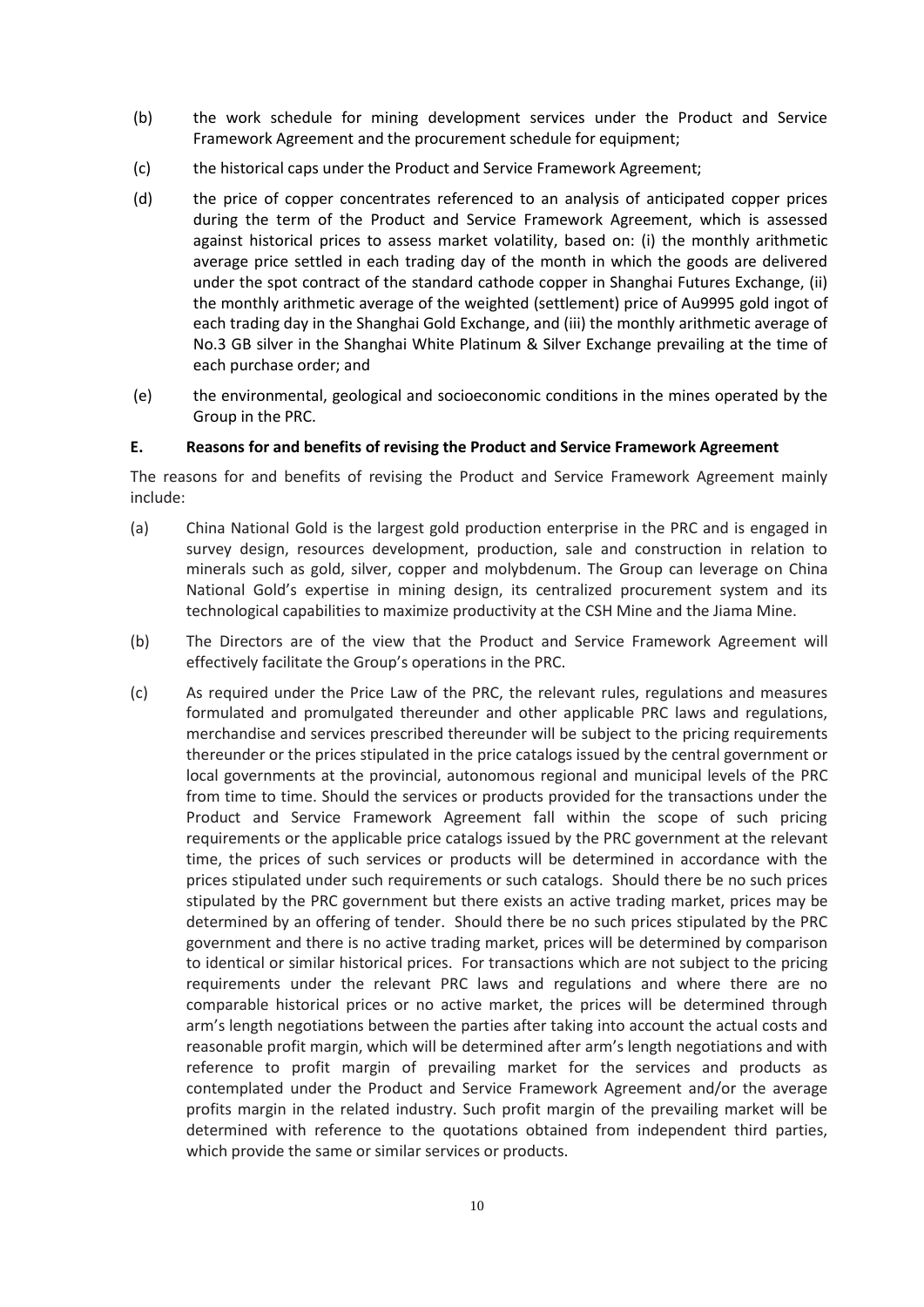- (b) the work schedule for mining development services under the Product and Service Framework Agreement and the procurement schedule for equipment;
- (c) the historical caps under the Product and Service Framework Agreement;
- (d) the price of copper concentrates referenced to an analysis of anticipated copper prices during the term of the Product and Service Framework Agreement, which is assessed against historical prices to assess market volatility, based on: (i) the monthly arithmetic average price settled in each trading day of the month in which the goods are delivered under the spot contract of the standard cathode copper in Shanghai Futures Exchange, (ii) the monthly arithmetic average of the weighted (settlement) price of Au9995 gold ingot of each trading day in the Shanghai Gold Exchange, and (iii) the monthly arithmetic average of No.3 GB silver in the Shanghai White Platinum & Silver Exchange prevailing at the time of each purchase order; and
- (e) the environmental, geological and socioeconomic conditions in the mines operated by the Group in the PRC.

### **E. Reasons for and benefits of revising the Product and Service Framework Agreement**

The reasons for and benefits of revising the Product and Service Framework Agreement mainly include:

- (a) China National Gold is the largest gold production enterprise in the PRC and is engaged in survey design, resources development, production, sale and construction in relation to minerals such as gold, silver, copper and molybdenum. The Group can leverage on China National Gold's expertise in mining design, its centralized procurement system and its technological capabilities to maximize productivity at the CSH Mine and the Jiama Mine.
- (b) The Directors are of the view that the Product and Service Framework Agreement will effectively facilitate the Group's operations in the PRC.
- (c) As required under the Price Law of the PRC, the relevant rules, regulations and measures formulated and promulgated thereunder and other applicable PRC laws and regulations, merchandise and services prescribed thereunder will be subject to the pricing requirements thereunder or the prices stipulated in the price catalogs issued by the central government or local governments at the provincial, autonomous regional and municipal levels of the PRC from time to time. Should the services or products provided for the transactions under the Product and Service Framework Agreement fall within the scope of such pricing requirements or the applicable price catalogs issued by the PRC government at the relevant time, the prices of such services or products will be determined in accordance with the prices stipulated under such requirements or such catalogs. Should there be no such prices stipulated by the PRC government but there exists an active trading market, prices may be determined by an offering of tender. Should there be no such prices stipulated by the PRC government and there is no active trading market, prices will be determined by comparison to identical or similar historical prices. For transactions which are not subject to the pricing requirements under the relevant PRC laws and regulations and where there are no comparable historical prices or no active market, the prices will be determined through arm's length negotiations between the parties after taking into account the actual costs and reasonable profit margin, which will be determined after arm's length negotiations and with reference to profit margin of prevailing market for the services and products as contemplated under the Product and Service Framework Agreement and/or the average profits margin in the related industry. Such profit margin of the prevailing market will be determined with reference to the quotations obtained from independent third parties, which provide the same or similar services or products.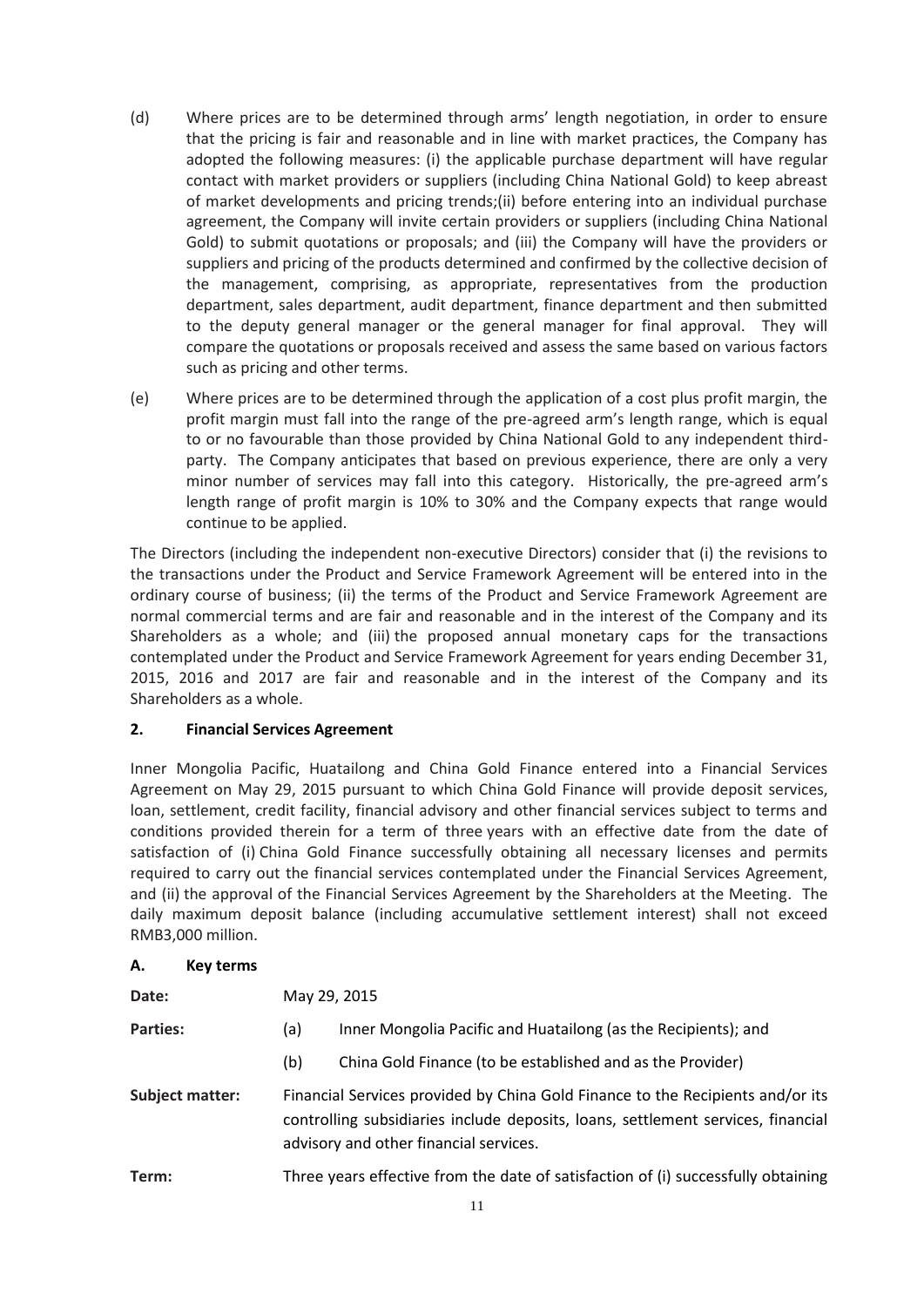- (d) Where prices are to be determined through arms' length negotiation, in order to ensure that the pricing is fair and reasonable and in line with market practices, the Company has adopted the following measures: (i) the applicable purchase department will have regular contact with market providers or suppliers (including China National Gold) to keep abreast of market developments and pricing trends;(ii) before entering into an individual purchase agreement, the Company will invite certain providers or suppliers (including China National Gold) to submit quotations or proposals; and (iii) the Company will have the providers or suppliers and pricing of the products determined and confirmed by the collective decision of the management, comprising, as appropriate, representatives from the production department, sales department, audit department, finance department and then submitted to the deputy general manager or the general manager for final approval. They will compare the quotations or proposals received and assess the same based on various factors such as pricing and other terms.
- (e) Where prices are to be determined through the application of a cost plus profit margin, the profit margin must fall into the range of the pre-agreed arm's length range, which is equal to or no favourable than those provided by China National Gold to any independent thirdparty. The Company anticipates that based on previous experience, there are only a very minor number of services may fall into this category. Historically, the pre-agreed arm's length range of profit margin is 10% to 30% and the Company expects that range would continue to be applied.

The Directors (including the independent non-executive Directors) consider that (i) the revisions to the transactions under the Product and Service Framework Agreement will be entered into in the ordinary course of business; (ii) the terms of the Product and Service Framework Agreement are normal commercial terms and are fair and reasonable and in the interest of the Company and its Shareholders as a whole; and (iii) the proposed annual monetary caps for the transactions contemplated under the Product and Service Framework Agreement for years ending December 31, 2015, 2016 and 2017 are fair and reasonable and in the interest of the Company and its Shareholders as a whole.

### **2. Financial Services Agreement**

Inner Mongolia Pacific, Huatailong and China Gold Finance entered into a Financial Services Agreement on May 29, 2015 pursuant to which China Gold Finance will provide deposit services, loan, settlement, credit facility, financial advisory and other financial services subject to terms and conditions provided therein for a term of three years with an effective date from the date of satisfaction of (i) China Gold Finance successfully obtaining all necessary licenses and permits required to carry out the financial services contemplated under the Financial Services Agreement, and (ii) the approval of the Financial Services Agreement by the Shareholders at the Meeting. The daily maximum deposit balance (including accumulative settlement interest) shall not exceed RMB3,000 million.

### **A. Key terms**

| Date:                  | May 29, 2015                                                                                                                                                                                                 |                                                                |  |
|------------------------|--------------------------------------------------------------------------------------------------------------------------------------------------------------------------------------------------------------|----------------------------------------------------------------|--|
| <b>Parties:</b><br>(a) |                                                                                                                                                                                                              | Inner Mongolia Pacific and Huatailong (as the Recipients); and |  |
|                        | (b)                                                                                                                                                                                                          | China Gold Finance (to be established and as the Provider)     |  |
| <b>Subject matter:</b> | Financial Services provided by China Gold Finance to the Recipients and/or its<br>controlling subsidiaries include deposits, loans, settlement services, financial<br>advisory and other financial services. |                                                                |  |
| Term:                  | Three years effective from the date of satisfaction of (i) successfully obtaining                                                                                                                            |                                                                |  |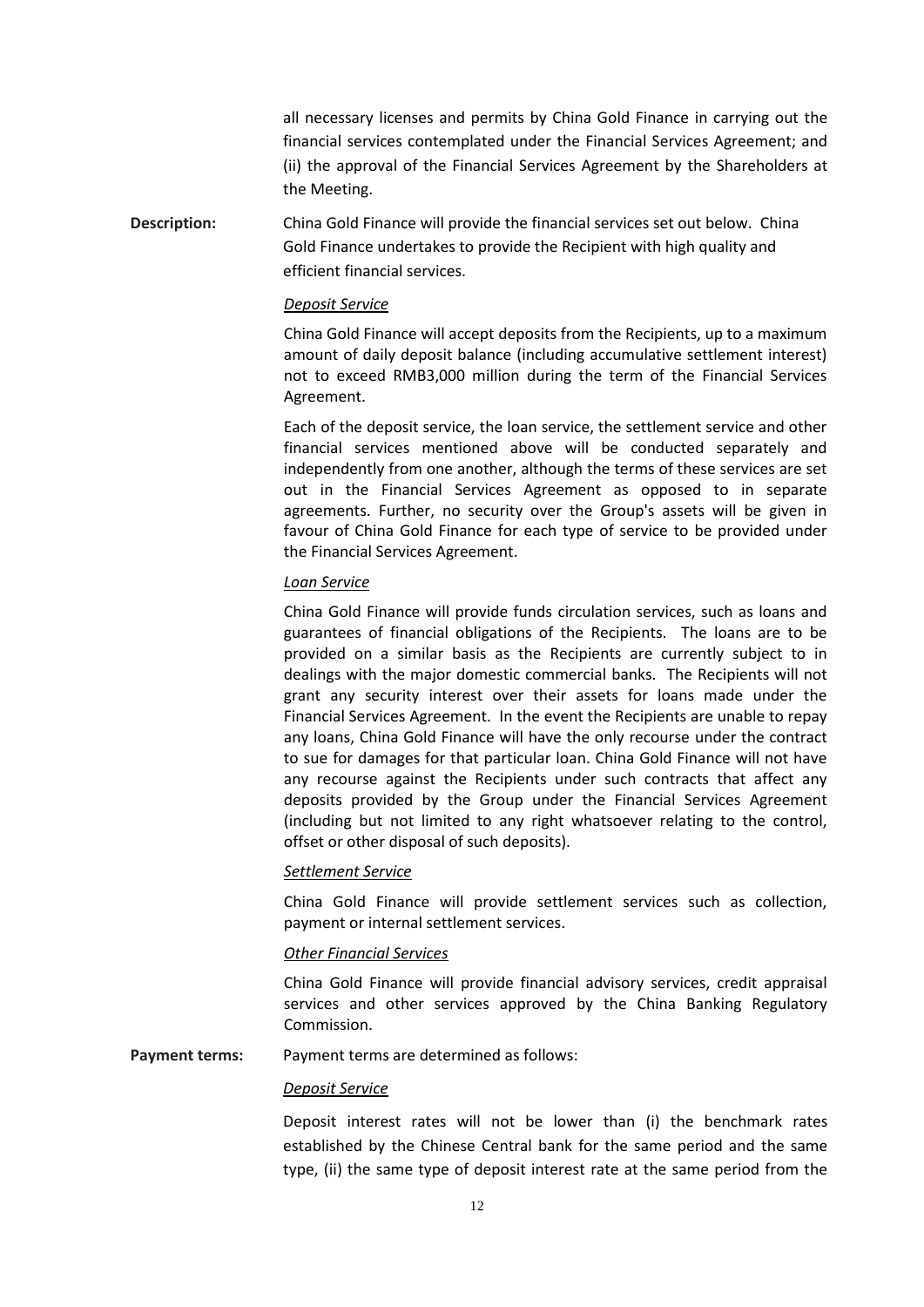all necessary licenses and permits by China Gold Finance in carrying out the financial services contemplated under the Financial Services Agreement; and (ii) the approval of the Financial Services Agreement by the Shareholders at the Meeting.

**Description:** China Gold Finance will provide the financial services set out below. China Gold Finance undertakes to provide the Recipient with high quality and efficient financial services.

#### *Deposit Service*

China Gold Finance will accept deposits from the Recipients, up to a maximum amount of daily deposit balance (including accumulative settlement interest) not to exceed RMB3,000 million during the term of the Financial Services Agreement.

Each of the deposit service, the loan service, the settlement service and other financial services mentioned above will be conducted separately and independently from one another, although the terms of these services are set out in the Financial Services Agreement as opposed to in separate agreements. Further, no security over the Group's assets will be given in favour of China Gold Finance for each type of service to be provided under the Financial Services Agreement.

#### *Loan Service*

China Gold Finance will provide funds circulation services, such as loans and guarantees of financial obligations of the Recipients. The loans are to be provided on a similar basis as the Recipients are currently subject to in dealings with the major domestic commercial banks. The Recipients will not grant any security interest over their assets for loans made under the Financial Services Agreement. In the event the Recipients are unable to repay any loans, China Gold Finance will have the only recourse under the contract to sue for damages for that particular loan. China Gold Finance will not have any recourse against the Recipients under such contracts that affect any deposits provided by the Group under the Financial Services Agreement (including but not limited to any right whatsoever relating to the control, offset or other disposal of such deposits).

#### *Settlement Service*

China Gold Finance will provide settlement services such as collection, payment or internal settlement services.

#### *Other Financial Services*

China Gold Finance will provide financial advisory services, credit appraisal services and other services approved by the China Banking Regulatory Commission.

**Payment terms:** Payment terms are determined as follows:

#### *Deposit Service*

Deposit interest rates will not be lower than (i) the benchmark rates established by the Chinese Central bank for the same period and the same type, (ii) the same type of deposit interest rate at the same period from the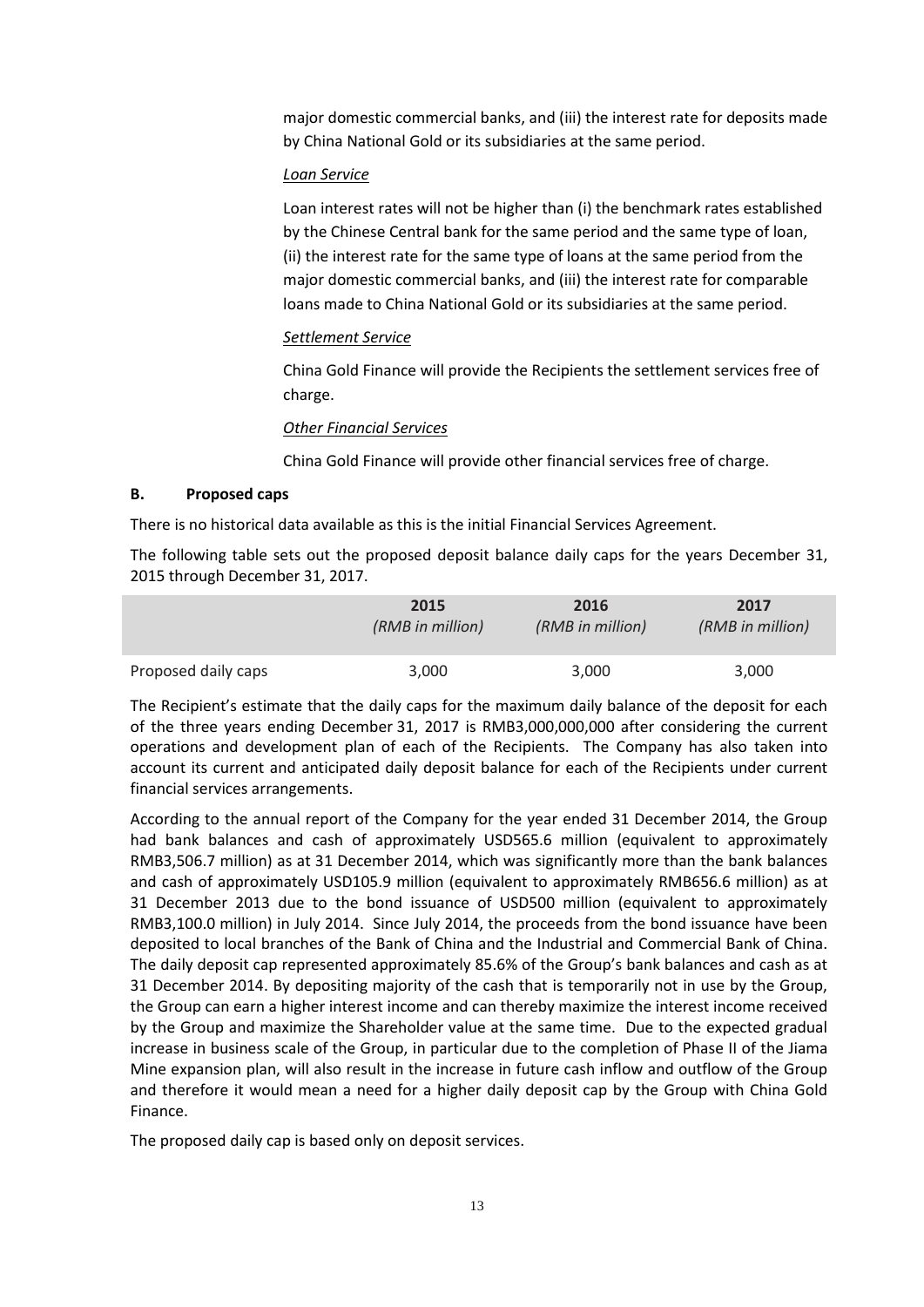major domestic commercial banks, and (iii) the interest rate for deposits made by China National Gold or its subsidiaries at the same period.

### *Loan Service*

Loan interest rates will not be higher than (i) the benchmark rates established by the Chinese Central bank for the same period and the same type of loan, (ii) the interest rate for the same type of loans at the same period from the major domestic commercial banks, and (iii) the interest rate for comparable loans made to China National Gold or its subsidiaries at the same period.

### *Settlement Service*

China Gold Finance will provide the Recipients the settlement services free of charge.

### *Other Financial Services*

China Gold Finance will provide other financial services free of charge.

### **B. Proposed caps**

There is no historical data available as this is the initial Financial Services Agreement.

The following table sets out the proposed deposit balance daily caps for the years December 31, 2015 through December 31, 2017.

|                     | 2015             | 2016             | 2017             |
|---------------------|------------------|------------------|------------------|
|                     | (RMB in million) | (RMB in million) | (RMB in million) |
| Proposed daily caps | 3,000            | 3,000            | 3,000            |

The Recipient's estimate that the daily caps for the maximum daily balance of the deposit for each of the three years ending December 31, 2017 is RMB3,000,000,000 after considering the current operations and development plan of each of the Recipients. The Company has also taken into account its current and anticipated daily deposit balance for each of the Recipients under current financial services arrangements.

According to the annual report of the Company for the year ended 31 December 2014, the Group had bank balances and cash of approximately USD565.6 million (equivalent to approximately RMB3,506.7 million) as at 31 December 2014, which was significantly more than the bank balances and cash of approximately USD105.9 million (equivalent to approximately RMB656.6 million) as at 31 December 2013 due to the bond issuance of USD500 million (equivalent to approximately RMB3,100.0 million) in July 2014. Since July 2014, the proceeds from the bond issuance have been deposited to local branches of the Bank of China and the Industrial and Commercial Bank of China. The daily deposit cap represented approximately 85.6% of the Group's bank balances and cash as at 31 December 2014. By depositing majority of the cash that is temporarily not in use by the Group, the Group can earn a higher interest income and can thereby maximize the interest income received by the Group and maximize the Shareholder value at the same time. Due to the expected gradual increase in business scale of the Group, in particular due to the completion of Phase II of the Jiama Mine expansion plan, will also result in the increase in future cash inflow and outflow of the Group and therefore it would mean a need for a higher daily deposit cap by the Group with China Gold Finance.

The proposed daily cap is based only on deposit services.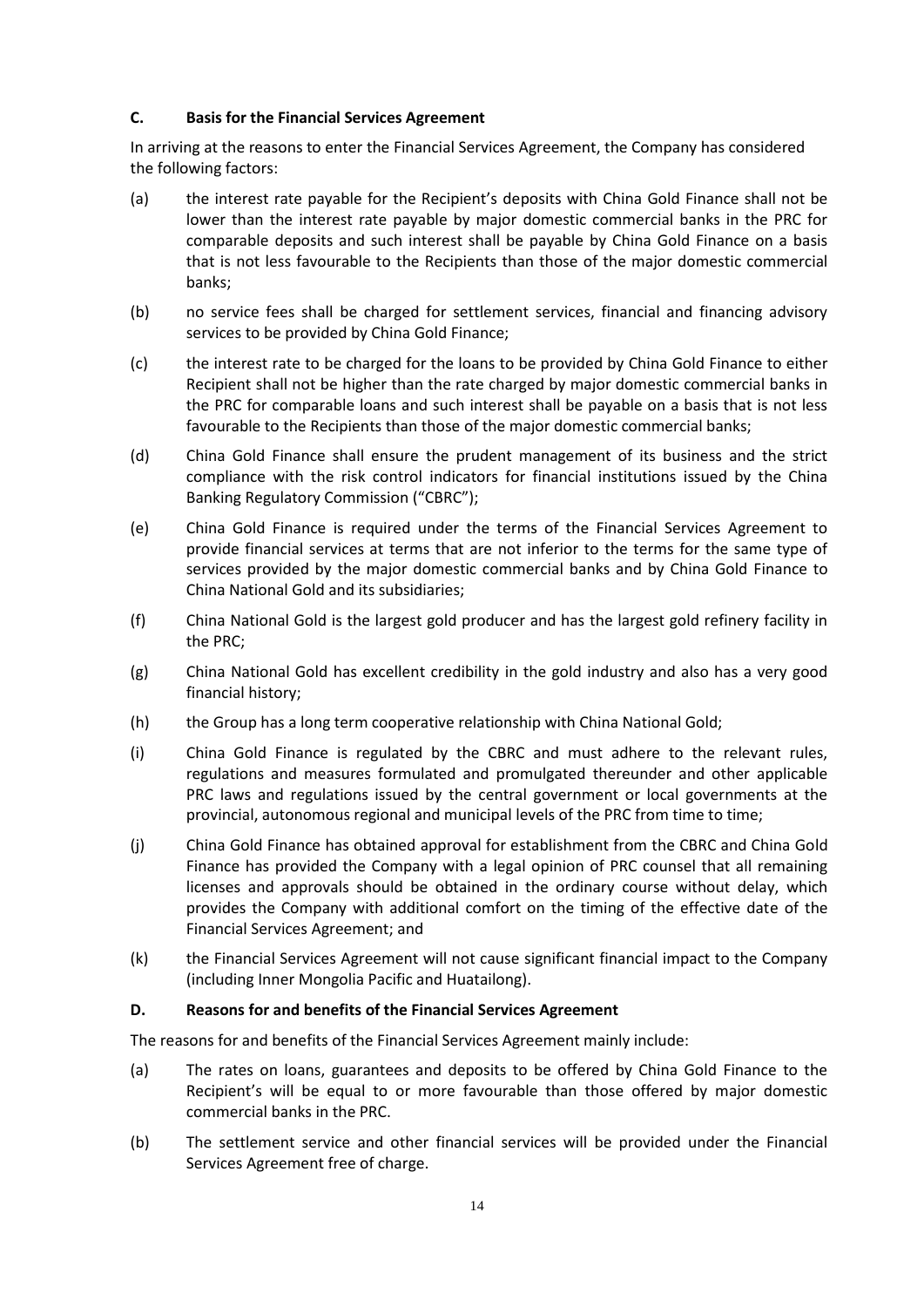### **C. Basis for the Financial Services Agreement**

In arriving at the reasons to enter the Financial Services Agreement, the Company has considered the following factors:

- (a) the interest rate payable for the Recipient's deposits with China Gold Finance shall not be lower than the interest rate payable by major domestic commercial banks in the PRC for comparable deposits and such interest shall be payable by China Gold Finance on a basis that is not less favourable to the Recipients than those of the major domestic commercial banks;
- (b) no service fees shall be charged for settlement services, financial and financing advisory services to be provided by China Gold Finance;
- (c) the interest rate to be charged for the loans to be provided by China Gold Finance to either Recipient shall not be higher than the rate charged by major domestic commercial banks in the PRC for comparable loans and such interest shall be payable on a basis that is not less favourable to the Recipients than those of the major domestic commercial banks;
- (d) China Gold Finance shall ensure the prudent management of its business and the strict compliance with the risk control indicators for financial institutions issued by the China Banking Regulatory Commission ("CBRC");
- (e) China Gold Finance is required under the terms of the Financial Services Agreement to provide financial services at terms that are not inferior to the terms for the same type of services provided by the major domestic commercial banks and by China Gold Finance to China National Gold and its subsidiaries;
- (f) China National Gold is the largest gold producer and has the largest gold refinery facility in the PRC;
- (g) China National Gold has excellent credibility in the gold industry and also has a very good financial history;
- (h) the Group has a long term cooperative relationship with China National Gold;
- (i) China Gold Finance is regulated by the CBRC and must adhere to the relevant rules, regulations and measures formulated and promulgated thereunder and other applicable PRC laws and regulations issued by the central government or local governments at the provincial, autonomous regional and municipal levels of the PRC from time to time;
- (j) China Gold Finance has obtained approval for establishment from the CBRC and China Gold Finance has provided the Company with a legal opinion of PRC counsel that all remaining licenses and approvals should be obtained in the ordinary course without delay, which provides the Company with additional comfort on the timing of the effective date of the Financial Services Agreement; and
- (k) the Financial Services Agreement will not cause significant financial impact to the Company (including Inner Mongolia Pacific and Huatailong).

### **D. Reasons for and benefits of the Financial Services Agreement**

The reasons for and benefits of the Financial Services Agreement mainly include:

- (a) The rates on loans, guarantees and deposits to be offered by China Gold Finance to the Recipient's will be equal to or more favourable than those offered by major domestic commercial banks in the PRC.
- (b) The settlement service and other financial services will be provided under the Financial Services Agreement free of charge.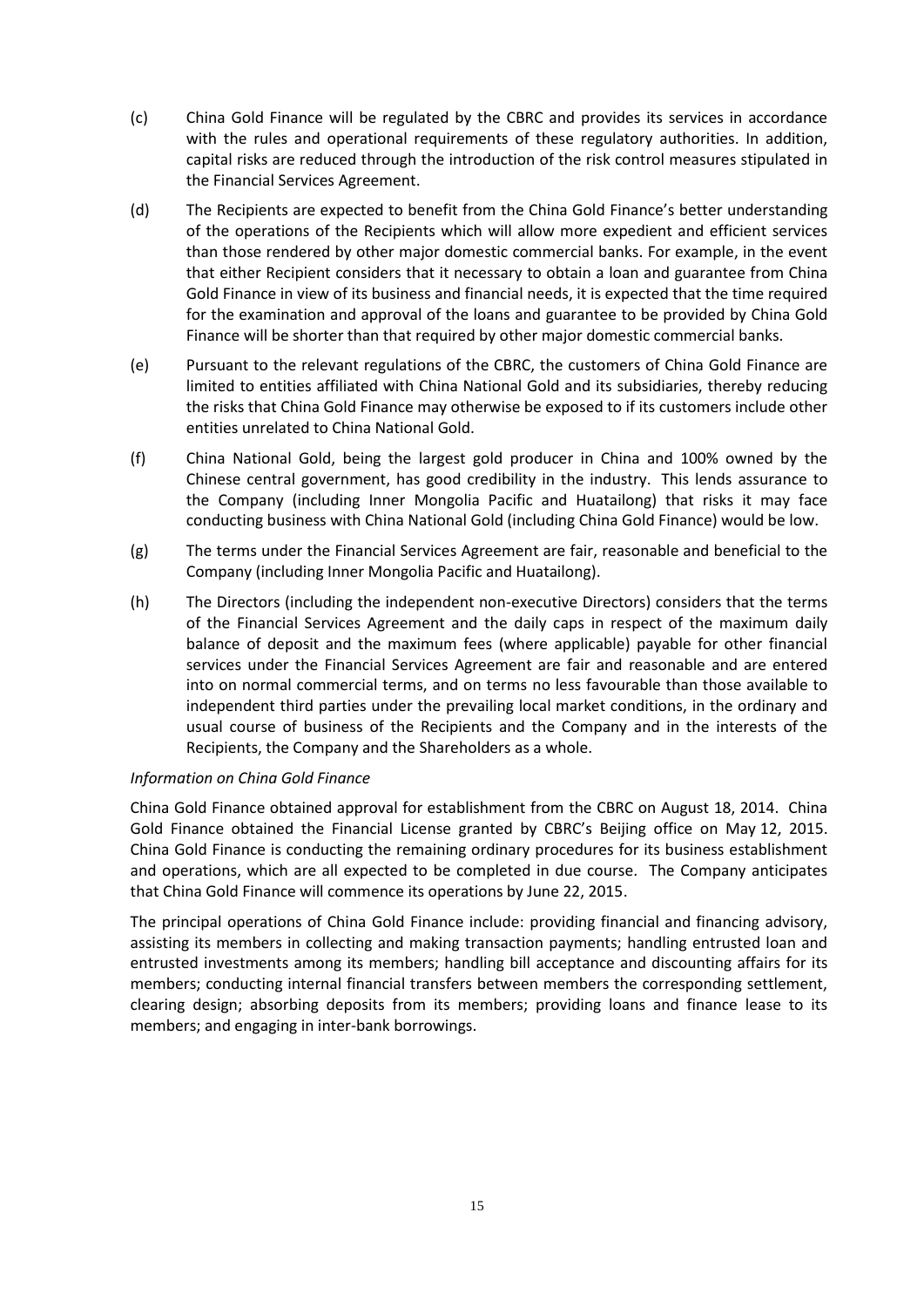- (c) China Gold Finance will be regulated by the CBRC and provides its services in accordance with the rules and operational requirements of these regulatory authorities. In addition, capital risks are reduced through the introduction of the risk control measures stipulated in the Financial Services Agreement.
- (d) The Recipients are expected to benefit from the China Gold Finance's better understanding of the operations of the Recipients which will allow more expedient and efficient services than those rendered by other major domestic commercial banks. For example, in the event that either Recipient considers that it necessary to obtain a loan and guarantee from China Gold Finance in view of its business and financial needs, it is expected that the time required for the examination and approval of the loans and guarantee to be provided by China Gold Finance will be shorter than that required by other major domestic commercial banks.
- (e) Pursuant to the relevant regulations of the CBRC, the customers of China Gold Finance are limited to entities affiliated with China National Gold and its subsidiaries, thereby reducing the risks that China Gold Finance may otherwise be exposed to if its customers include other entities unrelated to China National Gold.
- (f) China National Gold, being the largest gold producer in China and 100% owned by the Chinese central government, has good credibility in the industry. This lends assurance to the Company (including Inner Mongolia Pacific and Huatailong) that risks it may face conducting business with China National Gold (including China Gold Finance) would be low.
- (g) The terms under the Financial Services Agreement are fair, reasonable and beneficial to the Company (including Inner Mongolia Pacific and Huatailong).
- (h) The Directors (including the independent non-executive Directors) considers that the terms of the Financial Services Agreement and the daily caps in respect of the maximum daily balance of deposit and the maximum fees (where applicable) payable for other financial services under the Financial Services Agreement are fair and reasonable and are entered into on normal commercial terms, and on terms no less favourable than those available to independent third parties under the prevailing local market conditions, in the ordinary and usual course of business of the Recipients and the Company and in the interests of the Recipients, the Company and the Shareholders as a whole.

### *Information on China Gold Finance*

China Gold Finance obtained approval for establishment from the CBRC on August 18, 2014. China Gold Finance obtained the Financial License granted by CBRC's Beijing office on May 12, 2015. China Gold Finance is conducting the remaining ordinary procedures for its business establishment and operations, which are all expected to be completed in due course. The Company anticipates that China Gold Finance will commence its operations by June 22, 2015.

The principal operations of China Gold Finance include: providing financial and financing advisory, assisting its members in collecting and making transaction payments; handling entrusted loan and entrusted investments among its members; handling bill acceptance and discounting affairs for its members; conducting internal financial transfers between members the corresponding settlement, clearing design; absorbing deposits from its members; providing loans and finance lease to its members; and engaging in inter-bank borrowings.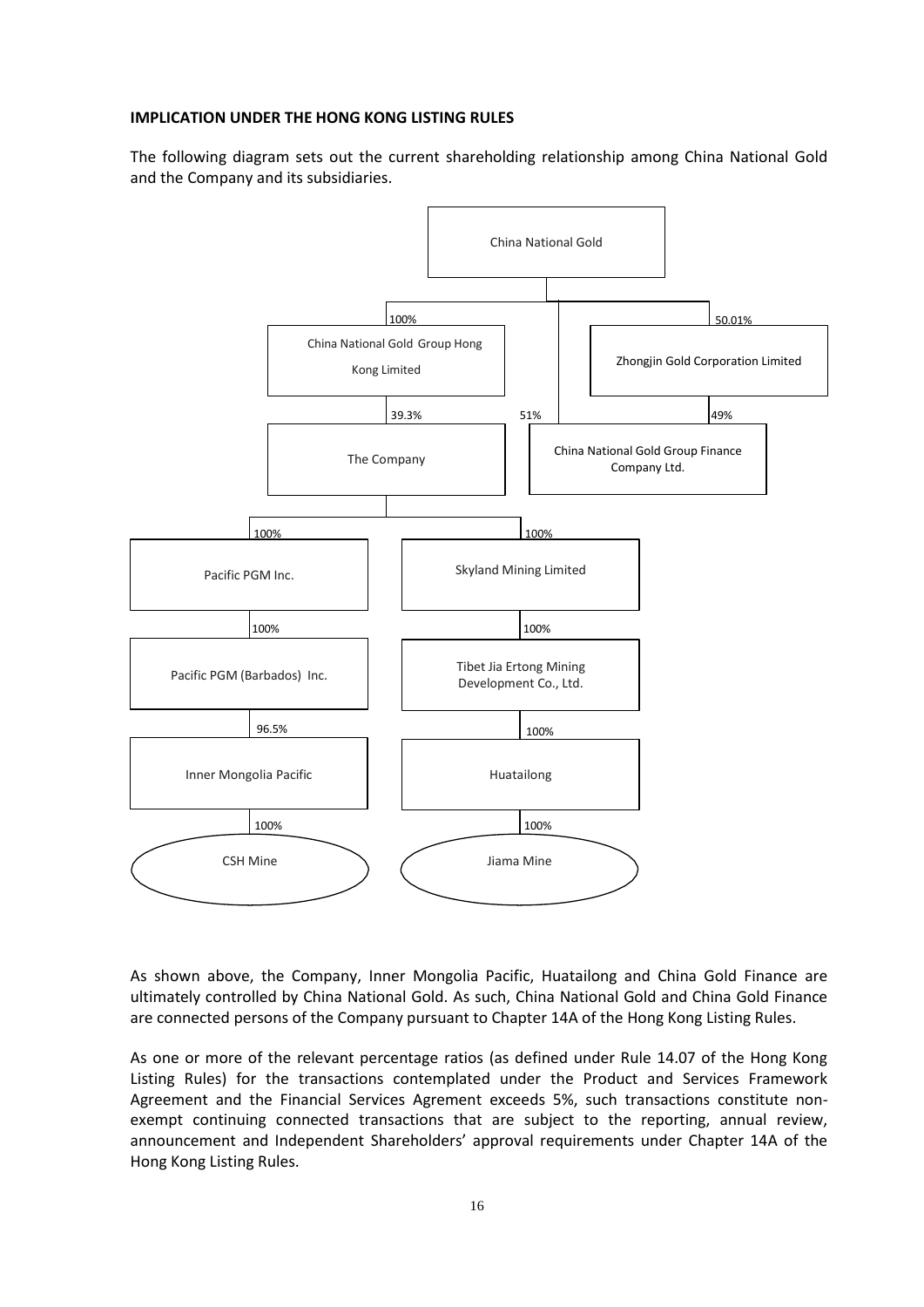### **IMPLICATION UNDER THE HONG KONG LISTING RULES**

The following diagram sets out the current shareholding relationship among China National Gold and the Company and its subsidiaries.



As shown above, the Company, Inner Mongolia Pacific, Huatailong and China Gold Finance are ultimately controlled by China National Gold. As such, China National Gold and China Gold Finance are connected persons of the Company pursuant to Chapter 14A of the Hong Kong Listing Rules.

As one or more of the relevant percentage ratios (as defined under Rule 14.07 of the Hong Kong Listing Rules) for the transactions contemplated under the Product and Services Framework Agreement and the Financial Services Agrement exceeds 5%, such transactions constitute nonexempt continuing connected transactions that are subject to the reporting, annual review, announcement and Independent Shareholders' approval requirements under Chapter 14A of the Hong Kong Listing Rules.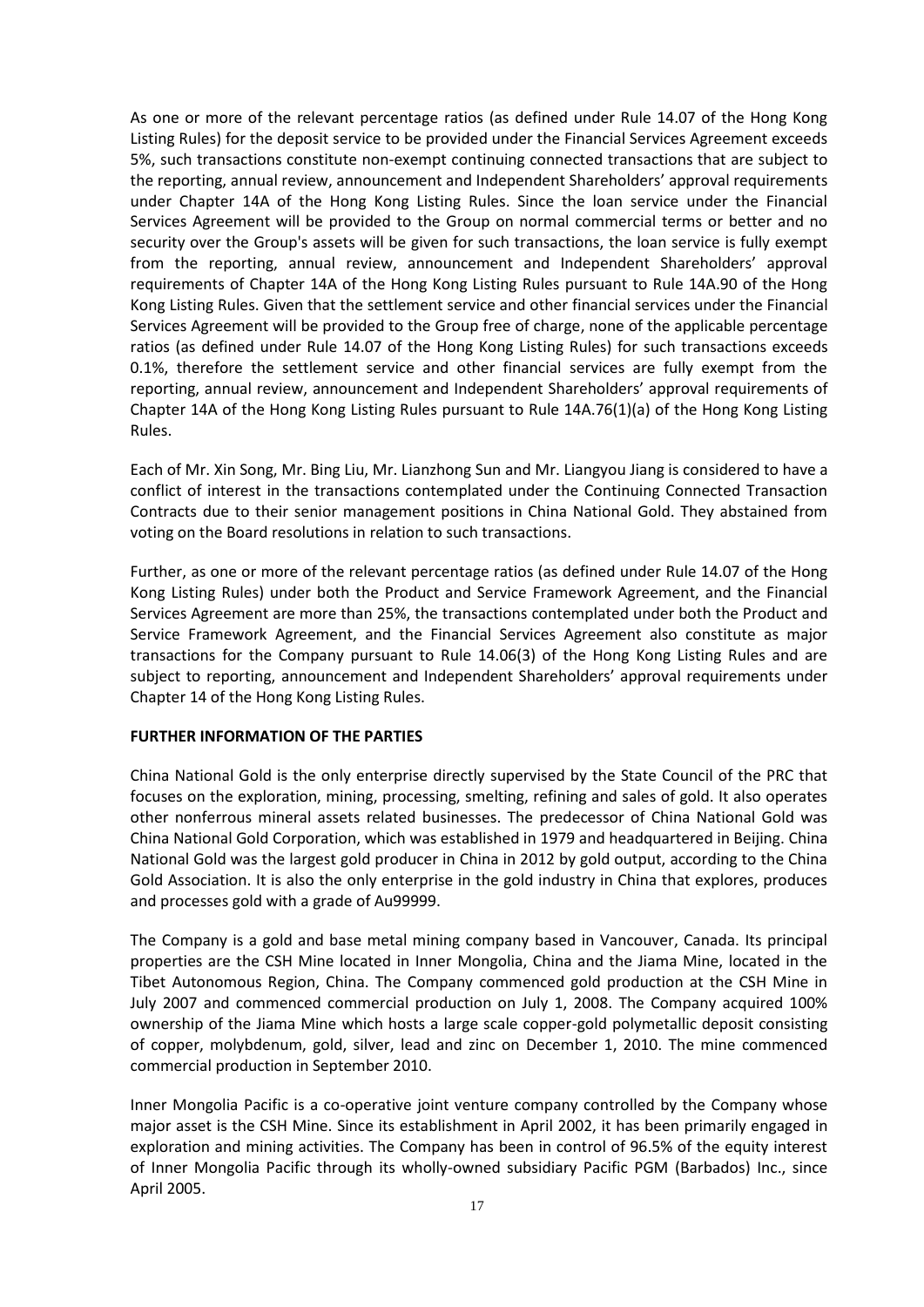As one or more of the relevant percentage ratios (as defined under Rule 14.07 of the Hong Kong Listing Rules) for the deposit service to be provided under the Financial Services Agreement exceeds 5%, such transactions constitute non-exempt continuing connected transactions that are subject to the reporting, annual review, announcement and Independent Shareholders' approval requirements under Chapter 14A of the Hong Kong Listing Rules. Since the loan service under the Financial Services Agreement will be provided to the Group on normal commercial terms or better and no security over the Group's assets will be given for such transactions, the loan service is fully exempt from the reporting, annual review, announcement and Independent Shareholders' approval requirements of Chapter 14A of the Hong Kong Listing Rules pursuant to Rule 14A.90 of the Hong Kong Listing Rules. Given that the settlement service and other financial services under the Financial Services Agreement will be provided to the Group free of charge, none of the applicable percentage ratios (as defined under Rule 14.07 of the Hong Kong Listing Rules) for such transactions exceeds 0.1%, therefore the settlement service and other financial services are fully exempt from the reporting, annual review, announcement and Independent Shareholders' approval requirements of Chapter 14A of the Hong Kong Listing Rules pursuant to Rule 14A.76(1)(a) of the Hong Kong Listing Rules.

Each of Mr. Xin Song, Mr. Bing Liu, Mr. Lianzhong Sun and Mr. Liangyou Jiang is considered to have a conflict of interest in the transactions contemplated under the Continuing Connected Transaction Contracts due to their senior management positions in China National Gold. They abstained from voting on the Board resolutions in relation to such transactions.

Further, as one or more of the relevant percentage ratios (as defined under Rule 14.07 of the Hong Kong Listing Rules) under both the Product and Service Framework Agreement, and the Financial Services Agreement are more than 25%, the transactions contemplated under both the Product and Service Framework Agreement, and the Financial Services Agreement also constitute as major transactions for the Company pursuant to Rule 14.06(3) of the Hong Kong Listing Rules and are subject to reporting, announcement and Independent Shareholders' approval requirements under Chapter 14 of the Hong Kong Listing Rules.

### **FURTHER INFORMATION OF THE PARTIES**

China National Gold is the only enterprise directly supervised by the State Council of the PRC that focuses on the exploration, mining, processing, smelting, refining and sales of gold. It also operates other nonferrous mineral assets related businesses. The predecessor of China National Gold was China National Gold Corporation, which was established in 1979 and headquartered in Beijing. China National Gold was the largest gold producer in China in 2012 by gold output, according to the China Gold Association. It is also the only enterprise in the gold industry in China that explores, produces and processes gold with a grade of Au99999.

The Company is a gold and base metal mining company based in Vancouver, Canada. Its principal properties are the CSH Mine located in Inner Mongolia, China and the Jiama Mine, located in the Tibet Autonomous Region, China. The Company commenced gold production at the CSH Mine in July 2007 and commenced commercial production on July 1, 2008. The Company acquired 100% ownership of the Jiama Mine which hosts a large scale copper-gold polymetallic deposit consisting of copper, molybdenum, gold, silver, lead and zinc on December 1, 2010. The mine commenced commercial production in September 2010.

Inner Mongolia Pacific is a co-operative joint venture company controlled by the Company whose major asset is the CSH Mine. Since its establishment in April 2002, it has been primarily engaged in exploration and mining activities. The Company has been in control of 96.5% of the equity interest of Inner Mongolia Pacific through its wholly-owned subsidiary Pacific PGM (Barbados) Inc., since April 2005.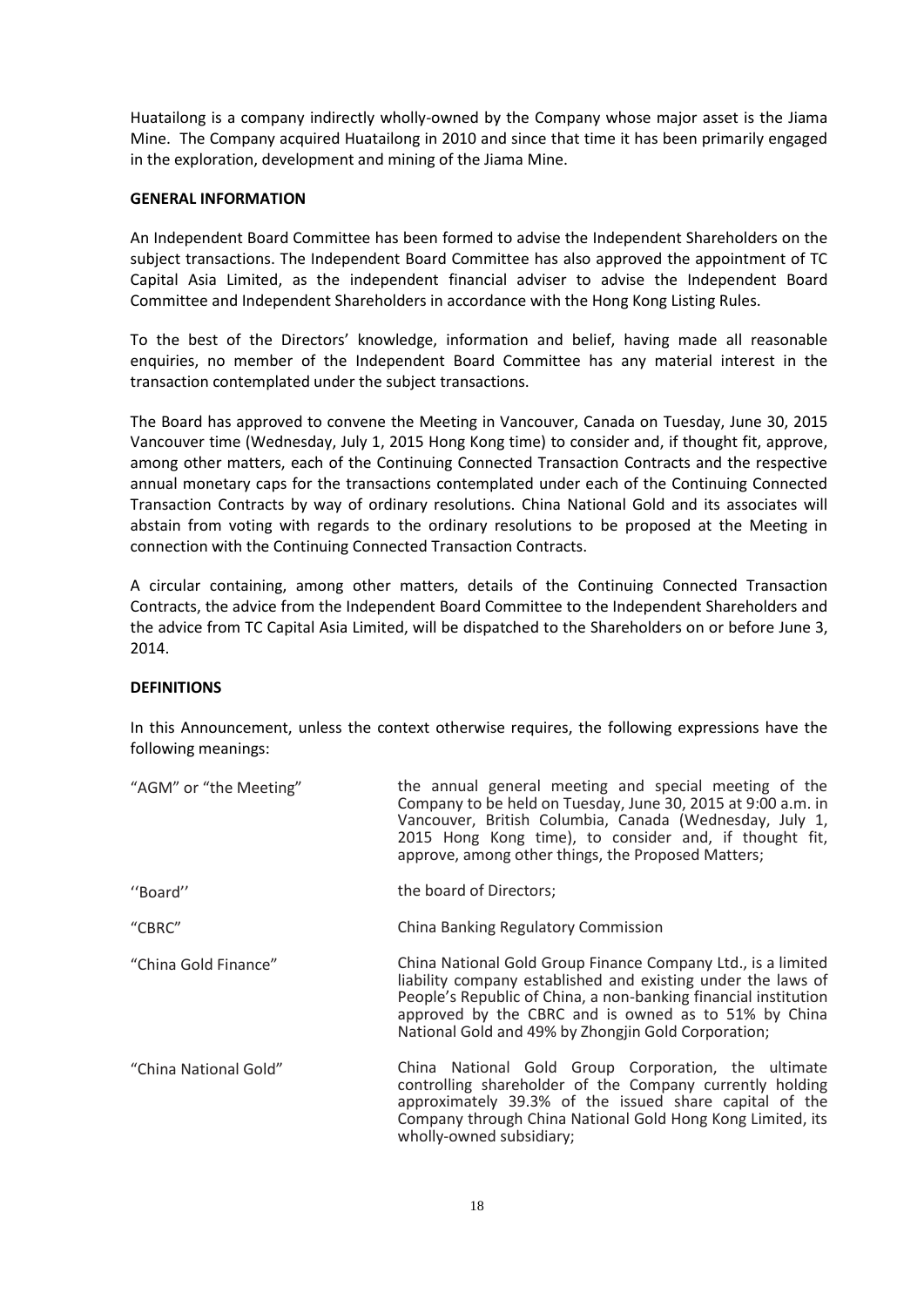Huatailong is a company indirectly wholly-owned by the Company whose major asset is the Jiama Mine. The Company acquired Huatailong in 2010 and since that time it has been primarily engaged in the exploration, development and mining of the Jiama Mine.

#### **GENERAL INFORMATION**

An Independent Board Committee has been formed to advise the Independent Shareholders on the subject transactions. The Independent Board Committee has also approved the appointment of TC Capital Asia Limited, as the independent financial adviser to advise the Independent Board Committee and Independent Shareholders in accordance with the Hong Kong Listing Rules.

To the best of the Directors' knowledge, information and belief, having made all reasonable enquiries, no member of the Independent Board Committee has any material interest in the transaction contemplated under the subject transactions.

The Board has approved to convene the Meeting in Vancouver, Canada on Tuesday, June 30, 2015 Vancouver time (Wednesday, July 1, 2015 Hong Kong time) to consider and, if thought fit, approve, among other matters, each of the Continuing Connected Transaction Contracts and the respective annual monetary caps for the transactions contemplated under each of the Continuing Connected Transaction Contracts by way of ordinary resolutions. China National Gold and its associates will abstain from voting with regards to the ordinary resolutions to be proposed at the Meeting in connection with the Continuing Connected Transaction Contracts.

A circular containing, among other matters, details of the Continuing Connected Transaction Contracts, the advice from the Independent Board Committee to the Independent Shareholders and the advice from TC Capital Asia Limited, will be dispatched to the Shareholders on or before June 3, 2014.

### **DEFINITIONS**

In this Announcement, unless the context otherwise requires, the following expressions have the following meanings:

| "AGM" or "the Meeting" | the annual general meeting and special meeting of the<br>Company to be held on Tuesday, June 30, 2015 at 9:00 a.m. in<br>Vancouver, British Columbia, Canada (Wednesday, July 1,<br>2015 Hong Kong time), to consider and, if thought fit,<br>approve, among other things, the Proposed Matters;               |
|------------------------|----------------------------------------------------------------------------------------------------------------------------------------------------------------------------------------------------------------------------------------------------------------------------------------------------------------|
| "Board"                | the board of Directors;                                                                                                                                                                                                                                                                                        |
| "CBRC"                 | China Banking Regulatory Commission                                                                                                                                                                                                                                                                            |
| "China Gold Finance"   | China National Gold Group Finance Company Ltd., is a limited<br>liability company established and existing under the laws of<br>People's Republic of China, a non-banking financial institution<br>approved by the CBRC and is owned as to 51% by China<br>National Gold and 49% by Zhongjin Gold Corporation; |
| "China National Gold"  | China National Gold Group Corporation, the ultimate<br>controlling shareholder of the Company currently holding<br>approximately 39.3% of the issued share capital of the<br>Company through China National Gold Hong Kong Limited, its<br>wholly-owned subsidiary;                                            |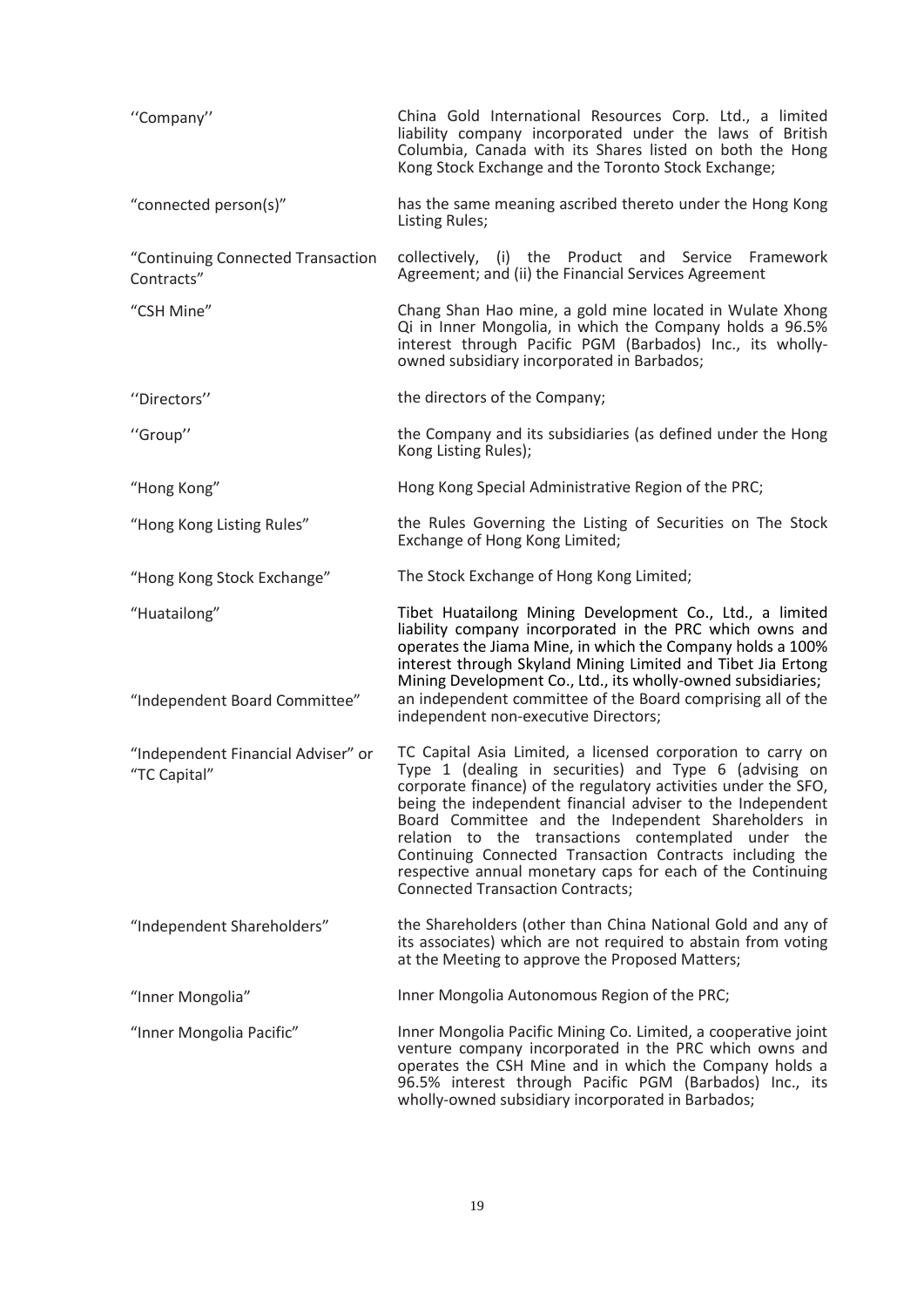| "Company"                                          | China Gold International Resources Corp. Ltd., a limited<br>liability company incorporated under the laws of British<br>Columbia, Canada with its Shares listed on both the Hong<br>Kong Stock Exchange and the Toronto Stock Exchange;                                                                                                                                                                                                                                                                                                  |
|----------------------------------------------------|------------------------------------------------------------------------------------------------------------------------------------------------------------------------------------------------------------------------------------------------------------------------------------------------------------------------------------------------------------------------------------------------------------------------------------------------------------------------------------------------------------------------------------------|
| "connected person(s)"                              | has the same meaning ascribed thereto under the Hong Kong<br>Listing Rules;                                                                                                                                                                                                                                                                                                                                                                                                                                                              |
| "Continuing Connected Transaction<br>Contracts"    | collectively, (i) the Product and Service Framework<br>Agreement; and (ii) the Financial Services Agreement                                                                                                                                                                                                                                                                                                                                                                                                                              |
| "CSH Mine"                                         | Chang Shan Hao mine, a gold mine located in Wulate Xhong<br>Qi in Inner Mongolia, in which the Company holds a 96.5%<br>interest through Pacific PGM (Barbados) Inc., its wholly-<br>owned subsidiary incorporated in Barbados;                                                                                                                                                                                                                                                                                                          |
| "Directors"                                        | the directors of the Company;                                                                                                                                                                                                                                                                                                                                                                                                                                                                                                            |
| "Group"                                            | the Company and its subsidiaries (as defined under the Hong<br>Kong Listing Rules);                                                                                                                                                                                                                                                                                                                                                                                                                                                      |
| "Hong Kong"                                        | Hong Kong Special Administrative Region of the PRC;                                                                                                                                                                                                                                                                                                                                                                                                                                                                                      |
| "Hong Kong Listing Rules"                          | the Rules Governing the Listing of Securities on The Stock<br>Exchange of Hong Kong Limited;                                                                                                                                                                                                                                                                                                                                                                                                                                             |
| "Hong Kong Stock Exchange"                         | The Stock Exchange of Hong Kong Limited;                                                                                                                                                                                                                                                                                                                                                                                                                                                                                                 |
| "Huatailong"<br>"Independent Board Committee"      | Tibet Huatailong Mining Development Co., Ltd., a limited<br>liability company incorporated in the PRC which owns and<br>operates the Jiama Mine, in which the Company holds a 100%<br>interest through Skyland Mining Limited and Tibet Jia Ertong<br>Mining Development Co., Ltd., its wholly-owned subsidiaries;<br>an independent committee of the Board comprising all of the<br>independent non-executive Directors;                                                                                                                |
| "Independent Financial Adviser" or<br>"TC Capital" | TC Capital Asia Limited, a licensed corporation to carry on<br>Type 1 (dealing in securities) and Type 6 (advising on<br>corporate finance) of the regulatory activities under the SFO,<br>being the independent financial adviser to the Independent<br>Board Committee and the Independent Shareholders in<br>relation to the transactions contemplated under the<br>Continuing Connected Transaction Contracts including the<br>respective annual monetary caps for each of the Continuing<br><b>Connected Transaction Contracts;</b> |
| "Independent Shareholders"                         | the Shareholders (other than China National Gold and any of<br>its associates) which are not required to abstain from voting<br>at the Meeting to approve the Proposed Matters;                                                                                                                                                                                                                                                                                                                                                          |
| "Inner Mongolia"                                   | Inner Mongolia Autonomous Region of the PRC;                                                                                                                                                                                                                                                                                                                                                                                                                                                                                             |
| "Inner Mongolia Pacific"                           | Inner Mongolia Pacific Mining Co. Limited, a cooperative joint<br>venture company incorporated in the PRC which owns and<br>operates the CSH Mine and in which the Company holds a<br>96.5% interest through Pacific PGM (Barbados) Inc., its<br>wholly-owned subsidiary incorporated in Barbados;                                                                                                                                                                                                                                       |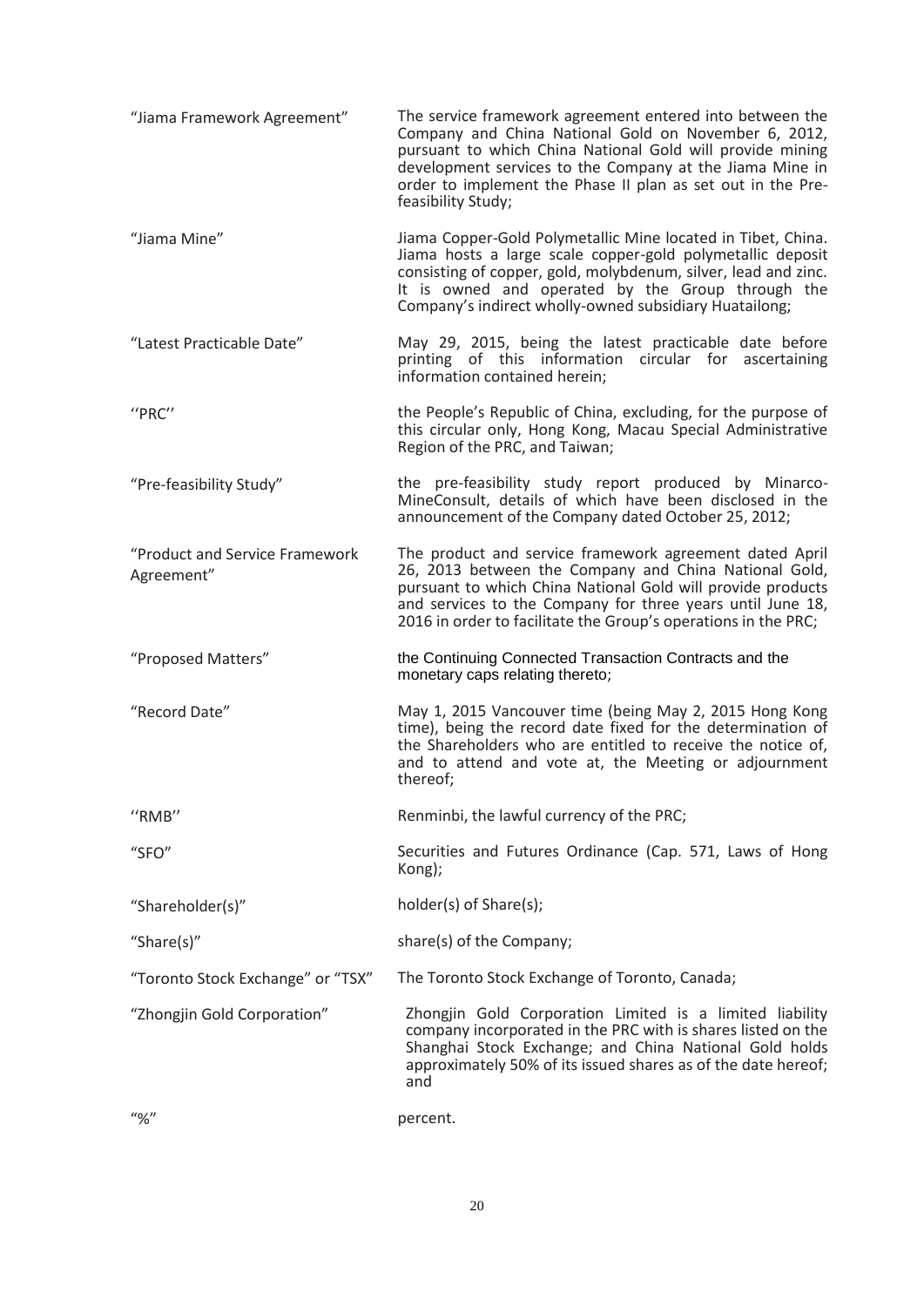| "Jiama Framework Agreement"                                                                                                                                                                                                                                                                                         | The service framework agreement entered into between the<br>Company and China National Gold on November 6, 2012,<br>pursuant to which China National Gold will provide mining<br>development services to the Company at the Jiama Mine in<br>order to implement the Phase II plan as set out in the Pre-<br>feasibility Study; |
|---------------------------------------------------------------------------------------------------------------------------------------------------------------------------------------------------------------------------------------------------------------------------------------------------------------------|--------------------------------------------------------------------------------------------------------------------------------------------------------------------------------------------------------------------------------------------------------------------------------------------------------------------------------|
| "Jiama Mine"                                                                                                                                                                                                                                                                                                        | Jiama Copper-Gold Polymetallic Mine located in Tibet, China.<br>Jiama hosts a large scale copper-gold polymetallic deposit<br>consisting of copper, gold, molybdenum, silver, lead and zinc.<br>It is owned and operated by the Group through the<br>Company's indirect wholly-owned subsidiary Huatailong;                    |
| "Latest Practicable Date"                                                                                                                                                                                                                                                                                           | May 29, 2015, being the latest practicable date before<br>printing of this information circular for ascertaining<br>information contained herein;                                                                                                                                                                              |
| "PRC"                                                                                                                                                                                                                                                                                                               | the People's Republic of China, excluding, for the purpose of<br>this circular only, Hong Kong, Macau Special Administrative<br>Region of the PRC, and Taiwan;                                                                                                                                                                 |
| "Pre-feasibility Study"                                                                                                                                                                                                                                                                                             | the pre-feasibility study report produced by Minarco-<br>MineConsult, details of which have been disclosed in the<br>announcement of the Company dated October 25, 2012;                                                                                                                                                       |
| "Product and Service Framework<br>Agreement"                                                                                                                                                                                                                                                                        | The product and service framework agreement dated April<br>26, 2013 between the Company and China National Gold,<br>pursuant to which China National Gold will provide products<br>and services to the Company for three years until June 18,<br>2016 in order to facilitate the Group's operations in the PRC;                |
| "Proposed Matters"                                                                                                                                                                                                                                                                                                  | the Continuing Connected Transaction Contracts and the<br>monetary caps relating thereto;                                                                                                                                                                                                                                      |
| "Record Date"                                                                                                                                                                                                                                                                                                       | May 1, 2015 Vancouver time (being May 2, 2015 Hong Kong<br>time), being the record date fixed for the determination of<br>the Shareholders who are entitled to receive the notice of,<br>and to attend and vote at, the Meeting or adjournment<br>thereof;                                                                     |
| "RMB"                                                                                                                                                                                                                                                                                                               | Renminbi, the lawful currency of the PRC;                                                                                                                                                                                                                                                                                      |
| "SFO"                                                                                                                                                                                                                                                                                                               | Securities and Futures Ordinance (Cap. 571, Laws of Hong<br>Kong);                                                                                                                                                                                                                                                             |
| "Shareholder(s)"                                                                                                                                                                                                                                                                                                    | holder(s) of Share(s);                                                                                                                                                                                                                                                                                                         |
| "Share(s)"                                                                                                                                                                                                                                                                                                          | share(s) of the Company;                                                                                                                                                                                                                                                                                                       |
| "Toronto Stock Exchange" or "TSX"                                                                                                                                                                                                                                                                                   | The Toronto Stock Exchange of Toronto, Canada;                                                                                                                                                                                                                                                                                 |
| "Zhongjin Gold Corporation"                                                                                                                                                                                                                                                                                         | Zhongjin Gold Corporation Limited is a limited liability<br>company incorporated in the PRC with is shares listed on the<br>Shanghai Stock Exchange; and China National Gold holds<br>approximately 50% of its issued shares as of the date hereof;<br>and                                                                     |
| $\frac{1}{2}$ $\frac{1}{2}$ $\frac{1}{2}$ $\frac{1}{2}$ $\frac{1}{2}$ $\frac{1}{2}$ $\frac{1}{2}$ $\frac{1}{2}$ $\frac{1}{2}$ $\frac{1}{2}$ $\frac{1}{2}$ $\frac{1}{2}$ $\frac{1}{2}$ $\frac{1}{2}$ $\frac{1}{2}$ $\frac{1}{2}$ $\frac{1}{2}$ $\frac{1}{2}$ $\frac{1}{2}$ $\frac{1}{2}$ $\frac{1}{2}$ $\frac{1}{2}$ | percent.                                                                                                                                                                                                                                                                                                                       |

20